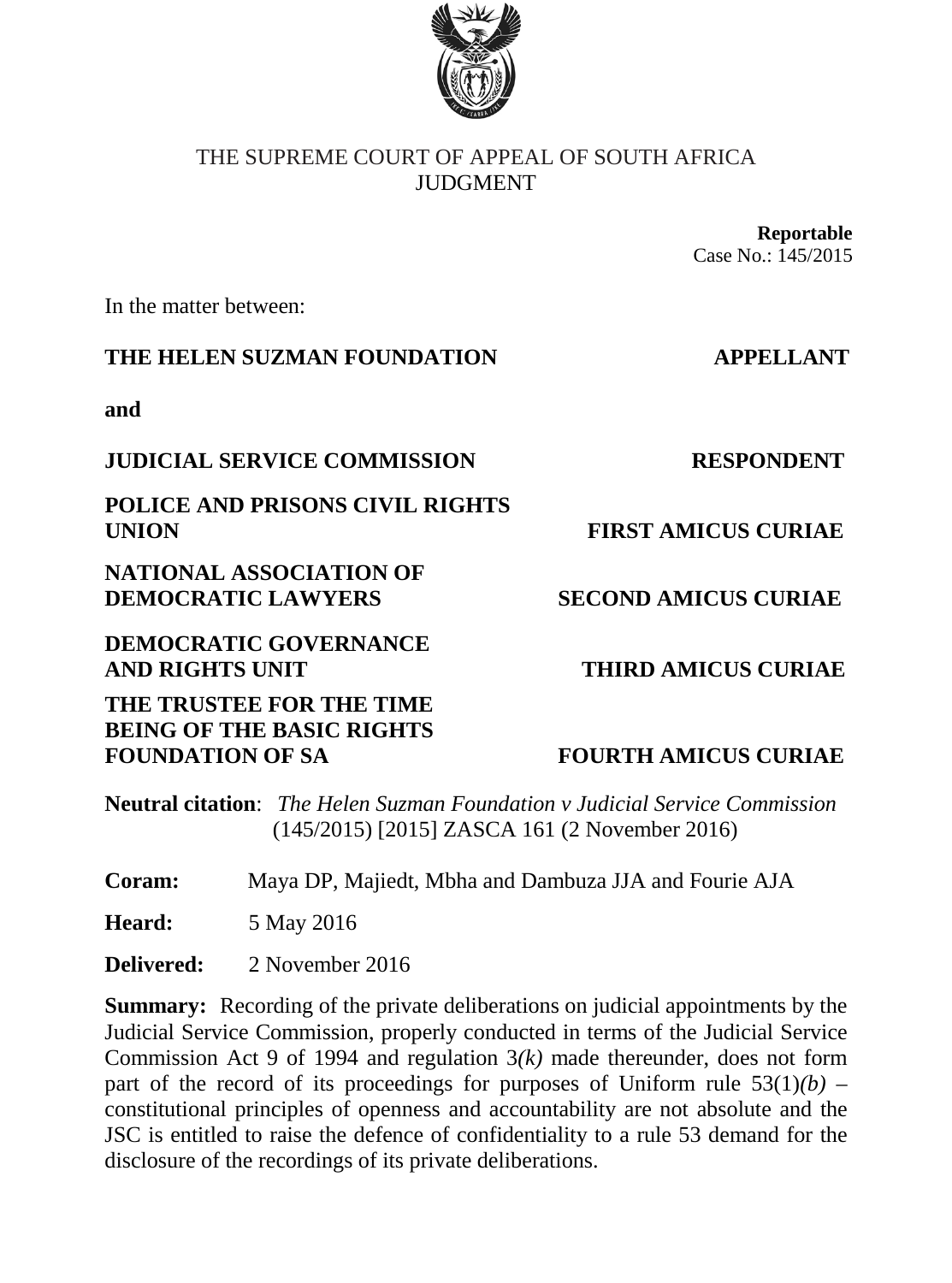

## THE SUPREME COURT OF APPEAL OF SOUTH AFRICA **IIIDGMENT**

**Reportable** Case No.: 145/2015

In the matter between:

## **THE HELEN SUZMAN FOUNDATION APPELLANT**

**and**

## **JUDICIAL SERVICE COMMISSION RESPONDENT**

**POLICE AND PRISONS CIVIL RIGHTS UNION FIRST AMICUS CURIAE**

**NATIONAL ASSOCIATION OF DEMOCRATIC LAWYERS SECOND AMICUS CURIAE** 

**DEMOCRATIC GOVERNANCE AND RIGHTS UNIT THIRD AMICUS CURIAE** 

**THE TRUSTEE FOR THE TIME BEING OF THE BASIC RIGHTS**  FOUNDATION OF SA **FOURTH AMICUS CURIAE** 

**Neutral citation**: *The Helen Suzman Foundation v Judicial Service Commission* (145/2015) [2015] ZASCA 161 (2 November 2016)

**Coram:** Maya DP, Majiedt, Mbha and Dambuza JJA and Fourie AJA

**Heard:** 5 May 2016

**Delivered:** 2 November 2016

**Summary:** Recording of the private deliberations on judicial appointments by the Judicial Service Commission, properly conducted in terms of the Judicial Service Commission Act 9 of 1994 and regulation 3*(k)* made thereunder, does not form part of the record of its proceedings for purposes of Uniform rule  $53(1)(b)$  – constitutional principles of openness and accountability are not absolute and the JSC is entitled to raise the defence of confidentiality to a rule 53 demand for the disclosure of the recordings of its private deliberations.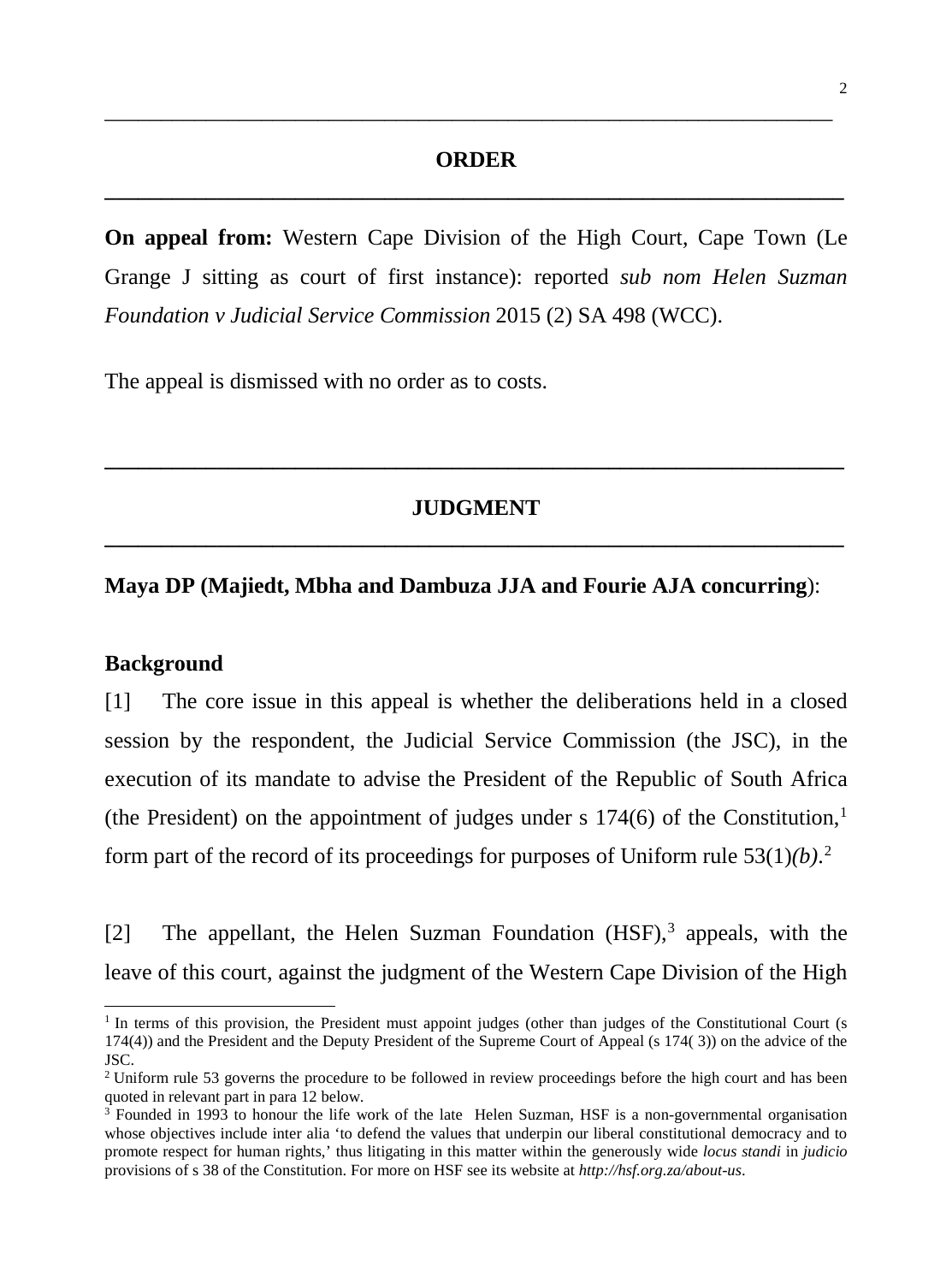# **ORDER \_\_\_\_\_\_\_\_\_\_\_\_\_\_\_\_\_\_\_\_\_\_\_\_\_\_\_\_\_\_\_\_\_\_\_\_\_\_\_\_\_\_\_\_\_\_\_\_\_\_\_\_\_\_\_\_\_\_\_\_\_\_\_\_\_\_**

\_\_\_\_\_\_\_\_\_\_\_\_\_\_\_\_\_\_\_\_\_\_\_\_\_\_\_\_\_\_\_\_\_\_\_\_\_\_\_\_\_\_\_\_\_\_\_\_\_\_\_\_\_\_\_\_\_\_\_\_\_\_\_\_\_

**On appeal from:** Western Cape Division of the High Court, Cape Town (Le Grange J sitting as court of first instance): reported *sub nom Helen Suzman Foundation v Judicial Service Commission* 2015 (2) SA 498 (WCC).

The appeal is dismissed with no order as to costs.

# **JUDGMENT \_\_\_\_\_\_\_\_\_\_\_\_\_\_\_\_\_\_\_\_\_\_\_\_\_\_\_\_\_\_\_\_\_\_\_\_\_\_\_\_\_\_\_\_\_\_\_\_\_\_\_\_\_\_\_\_\_\_\_\_\_\_\_\_\_\_**

**\_\_\_\_\_\_\_\_\_\_\_\_\_\_\_\_\_\_\_\_\_\_\_\_\_\_\_\_\_\_\_\_\_\_\_\_\_\_\_\_\_\_\_\_\_\_\_\_\_\_\_\_\_\_\_\_\_\_\_\_\_\_\_\_\_\_**

### **Maya DP (Majiedt, Mbha and Dambuza JJA and Fourie AJA concurring**):

#### **Background**

j

[1] The core issue in this appeal is whether the deliberations held in a closed session by the respondent, the Judicial Service Commission (the JSC), in the execution of its mandate to advise the President of the Republic of South Africa (the President) on the appointment of judges under s  $174(6)$  of the Constitution,<sup>1</sup> form part of the record of its proceedings for purposes of Uniform rule 53(1)*(b)*. [2](#page-1-1)

[2] The appellant, the Helen Suzman Foundation  $(HSF)$ , appeals, with the leave of this court, against the judgment of the Western Cape Division of the High

<span id="page-1-0"></span> $1$  In terms of this provision, the President must appoint judges (other than judges of the Constitutional Court (s 174(4)) and the President and the Deputy President of the Supreme Court of Appeal (s 174( 3)) on the advice of the JSC.

<span id="page-1-1"></span><sup>&</sup>lt;sup>2</sup> Uniform rule 53 governs the procedure to be followed in review proceedings before the high court and has been quoted in relevant part in para 12 below.

<span id="page-1-2"></span><sup>&</sup>lt;sup>3</sup> Founded in 1993 to honour the life work of the late Helen Suzman, HSF is a non-governmental organisation whose objectives include inter alia 'to defend the values that underpin our liberal constitutional democracy and to promote respect for human rights,' thus litigating in this matter within the generously wide *locus standi* in *judicio* provisions of s 38 of the Constitution. For more on HSF see its website at *http://hsf.org.za/about-us*.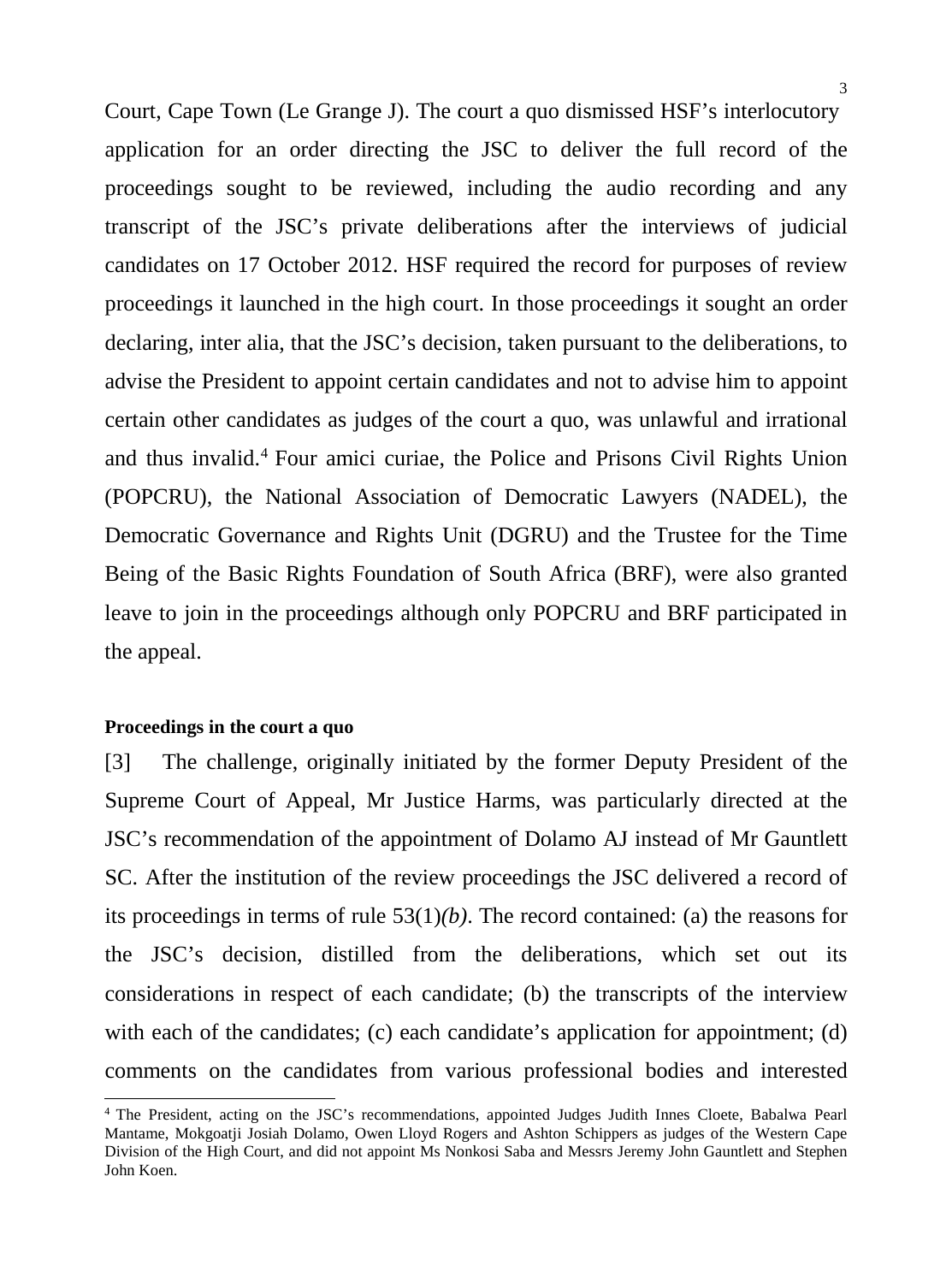Court, Cape Town (Le Grange J). The court a quo dismissed HSF's interlocutory application for an order directing the JSC to deliver the full record of the proceedings sought to be reviewed, including the audio recording and any transcript of the JSC's private deliberations after the interviews of judicial candidates on 17 October 2012. HSF required the record for purposes of review proceedings it launched in the high court. In those proceedings it sought an order declaring, inter alia, that the JSC's decision, taken pursuant to the deliberations, to advise the President to appoint certain candidates and not to advise him to appoint certain other candidates as judges of the court a quo, was unlawful and irrational and thus invalid.[4](#page-2-0) Four amici curiae, the Police and Prisons Civil Rights Union (POPCRU), the National Association of Democratic Lawyers (NADEL), the Democratic Governance and Rights Unit (DGRU) and the Trustee for the Time Being of the Basic Rights Foundation of South Africa (BRF), were also granted leave to join in the proceedings although only POPCRU and BRF participated in the appeal.

#### **Proceedings in the court a quo**

-

[3] The challenge, originally initiated by the former Deputy President of the Supreme Court of Appeal, Mr Justice Harms, was particularly directed at the JSC's recommendation of the appointment of Dolamo AJ instead of Mr Gauntlett SC. After the institution of the review proceedings the JSC delivered a record of its proceedings in terms of rule 53(1)*(b)*. The record contained: (a) the reasons for the JSC's decision, distilled from the deliberations, which set out its considerations in respect of each candidate; (b) the transcripts of the interview with each of the candidates; (c) each candidate's application for appointment; (d) comments on the candidates from various professional bodies and interested

<span id="page-2-0"></span><sup>4</sup> The President, acting on the JSC's recommendations, appointed Judges Judith Innes Cloete, Babalwa Pearl Mantame, Mokgoatji Josiah Dolamo, Owen Lloyd Rogers and Ashton Schippers as judges of the Western Cape Division of the High Court, and did not appoint Ms Nonkosi Saba and Messrs Jeremy John Gauntlett and Stephen John Koen.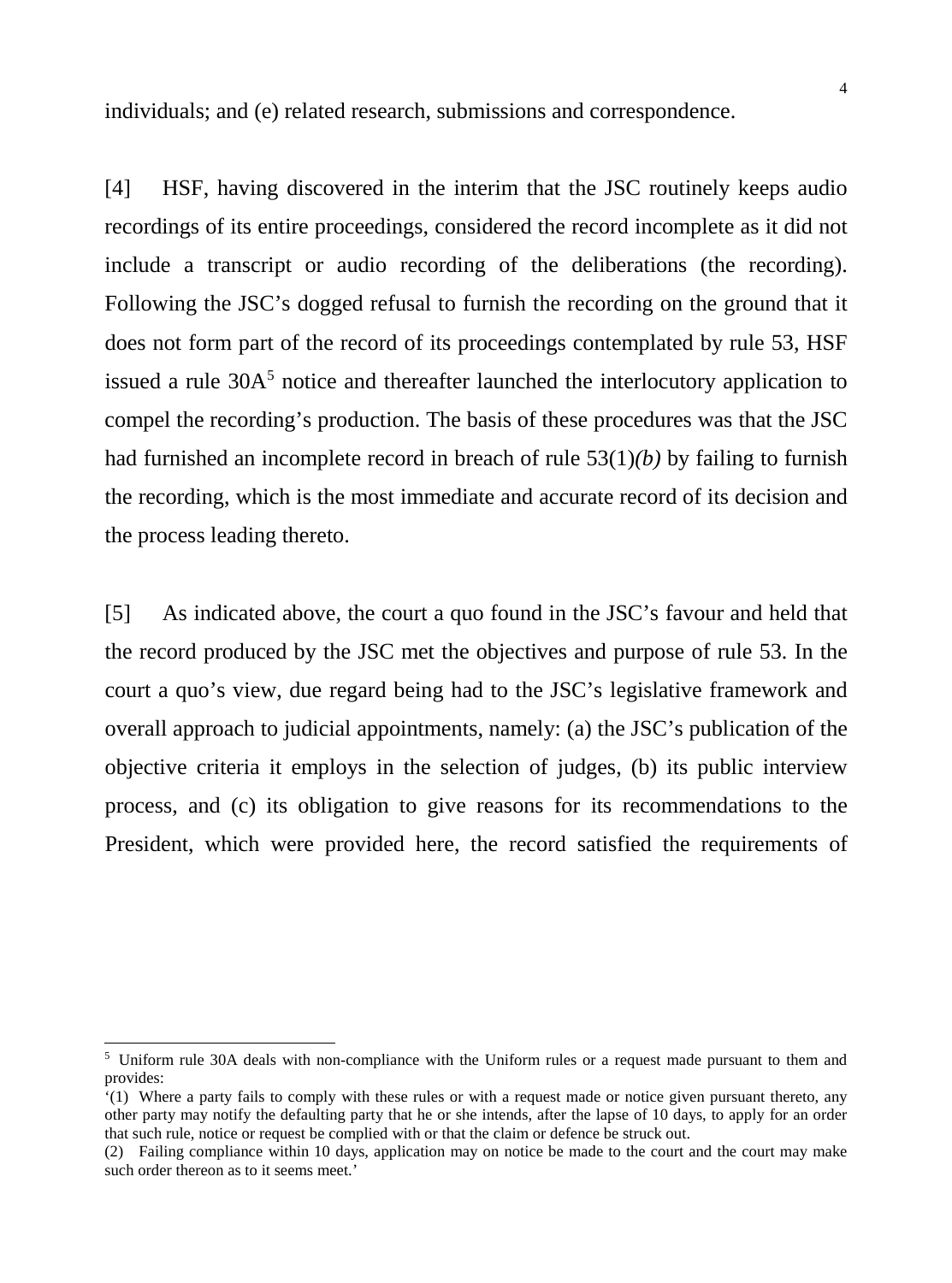individuals; and (e) related research, submissions and correspondence.

[4] HSF, having discovered in the interim that the JSC routinely keeps audio recordings of its entire proceedings, considered the record incomplete as it did not include a transcript or audio recording of the deliberations (the recording). Following the JSC's dogged refusal to furnish the recording on the ground that it does not form part of the record of its proceedings contemplated by rule 53, HSF issued a rule 30A<sup>[5](#page-3-0)</sup> notice and thereafter launched the interlocutory application to compel the recording's production. The basis of these procedures was that the JSC had furnished an incomplete record in breach of rule 53(1)*(b)* by failing to furnish the recording, which is the most immediate and accurate record of its decision and the process leading thereto.

[5] As indicated above, the court a quo found in the JSC's favour and held that the record produced by the JSC met the objectives and purpose of rule 53. In the court a quo's view, due regard being had to the JSC's legislative framework and overall approach to judicial appointments, namely: (a) the JSC's publication of the objective criteria it employs in the selection of judges, (b) its public interview process, and (c) its obligation to give reasons for its recommendations to the President, which were provided here, the record satisfied the requirements of

<span id="page-3-0"></span><sup>5</sup> Uniform rule 30A deals with non-compliance with the Uniform rules or a request made pursuant to them and provides:

<sup>&#</sup>x27;(1) Where a party fails to comply with these rules or with a request made or notice given pursuant thereto, any other party may notify the defaulting party that he or she intends, after the lapse of 10 days, to apply for an order that such rule, notice or request be complied with or that the claim or defence be struck out.

<sup>(2)</sup> Failing compliance within 10 days, application may on notice be made to the court and the court may make such order thereon as to it seems meet.'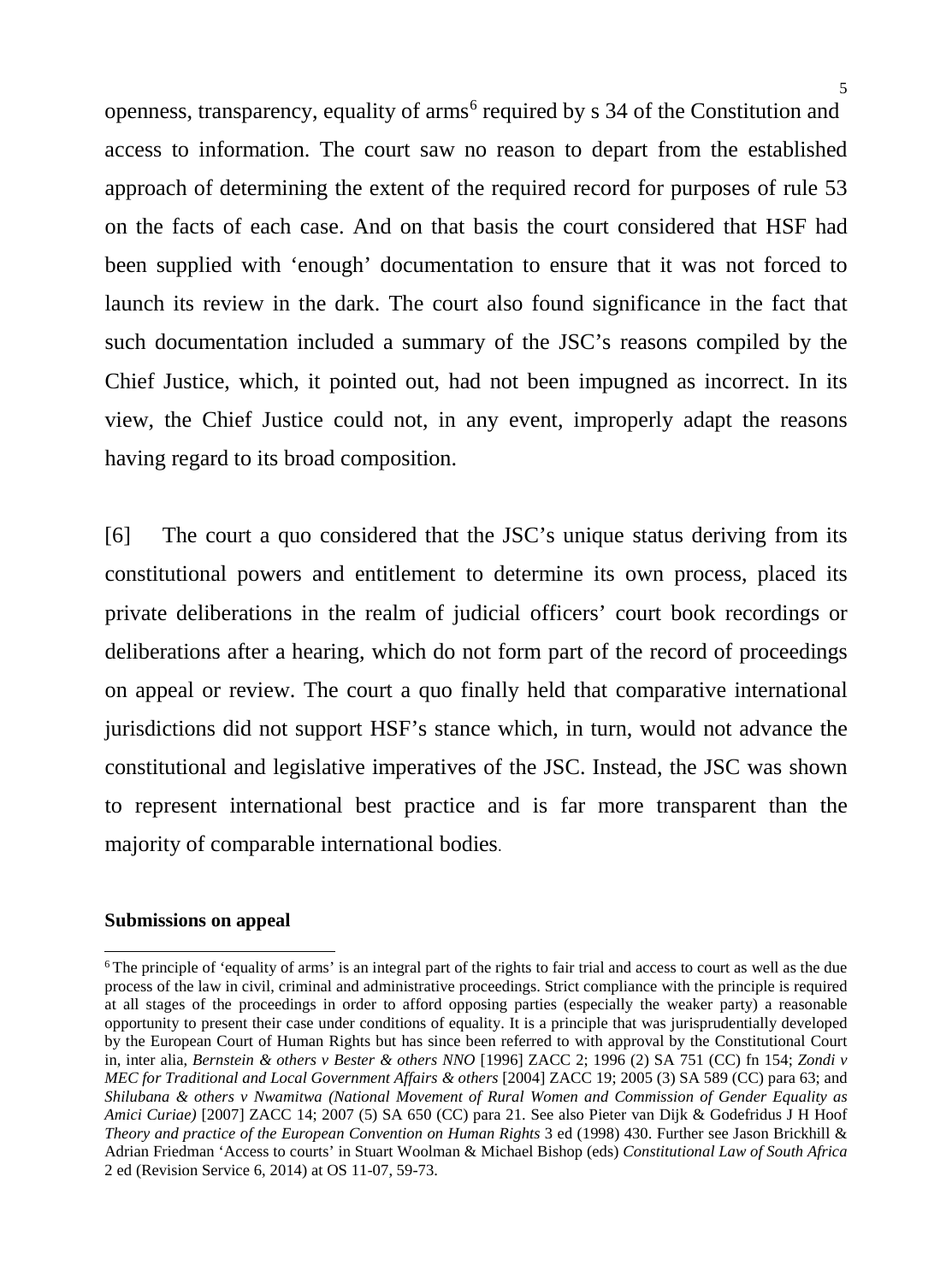openness, transparency, equality of arms<sup>[6](#page-4-0)</sup> required by s 34 of the Constitution and access to information. The court saw no reason to depart from the established approach of determining the extent of the required record for purposes of rule 53 on the facts of each case. And on that basis the court considered that HSF had been supplied with 'enough' documentation to ensure that it was not forced to launch its review in the dark. The court also found significance in the fact that such documentation included a summary of the JSC's reasons compiled by the Chief Justice, which, it pointed out, had not been impugned as incorrect. In its view, the Chief Justice could not, in any event, improperly adapt the reasons having regard to its broad composition.

[6] The court a quo considered that the JSC's unique status deriving from its constitutional powers and entitlement to determine its own process, placed its private deliberations in the realm of judicial officers' court book recordings or deliberations after a hearing, which do not form part of the record of proceedings on appeal or review. The court a quo finally held that comparative international jurisdictions did not support HSF's stance which, in turn, would not advance the constitutional and legislative imperatives of the JSC. Instead, the JSC was shown to represent international best practice and is far more transparent than the majority of comparable international bodies.

### **Submissions on appeal**

<span id="page-4-0"></span><sup>&</sup>lt;sup>6</sup> The principle of 'equality of arms' is an integral part of the rights to fair trial and access to court as well as the due process of the law in civil, criminal and administrative proceedings. Strict compliance with the principle is required at all stages of the proceedings in order to afford opposing parties (especially the weaker party) a reasonable opportunity to present their case under conditions of equality. It is a principle that was jurisprudentially developed by the European Court of Human Rights but has since been referred to with approval by the Constitutional Court in, inter alia, *Bernstein & others v Bester & others NNO* [1996] ZACC 2; 1996 (2) SA 751 (CC) fn 154; *Zondi v MEC for Traditional and Local Government Affairs & others* [2004] ZACC 19; 2005 (3) SA 589 (CC) para 63; and *Shilubana & others v Nwamitwa (National Movement of Rural Women and Commission of Gender Equality as Amici Curiae)* [2007] ZACC 14; 2007 (5) SA 650 (CC) para 21. See also Pieter van Dijk & Godefridus J H Hoof *Theory and practice of the European Convention on Human Rights* 3 ed (1998) 430. Further see Jason Brickhill & Adrian Friedman 'Access to courts' in Stuart Woolman & Michael Bishop (eds) *Constitutional Law of South Africa* 2 ed (Revision Service 6, 2014) at OS 11-07, 59-73.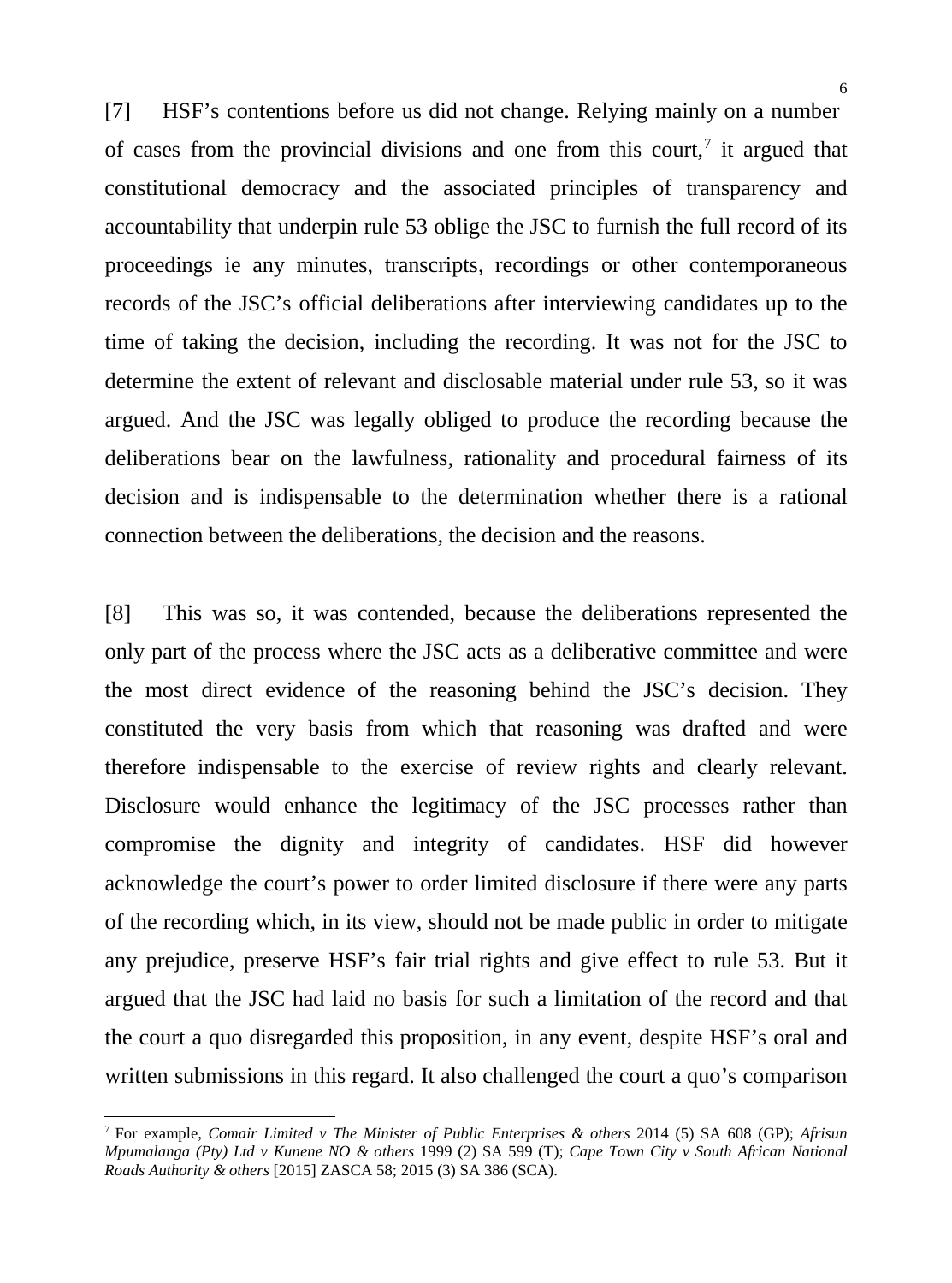[7] HSF's contentions before us did not change. Relying mainly on a number of cases from the provincial divisions and one from this court,<sup>[7](#page-5-0)</sup> it argued that constitutional democracy and the associated principles of transparency and accountability that underpin rule 53 oblige the JSC to furnish the full record of its proceedings ie any minutes, transcripts, recordings or other contemporaneous records of the JSC's official deliberations after interviewing candidates up to the time of taking the decision, including the recording. It was not for the JSC to determine the extent of relevant and disclosable material under rule 53, so it was argued. And the JSC was legally obliged to produce the recording because the deliberations bear on the lawfulness, rationality and procedural fairness of its decision and is indispensable to the determination whether there is a rational connection between the deliberations, the decision and the reasons.

[8] This was so, it was contended, because the deliberations represented the only part of the process where the JSC acts as a deliberative committee and were the most direct evidence of the reasoning behind the JSC's decision. They constituted the very basis from which that reasoning was drafted and were therefore indispensable to the exercise of review rights and clearly relevant. Disclosure would enhance the legitimacy of the JSC processes rather than compromise the dignity and integrity of candidates. HSF did however acknowledge the court's power to order limited disclosure if there were any parts of the recording which, in its view, should not be made public in order to mitigate any prejudice, preserve HSF's fair trial rights and give effect to rule 53. But it argued that the JSC had laid no basis for such a limitation of the record and that the court a quo disregarded this proposition, in any event, despite HSF's oral and written submissions in this regard. It also challenged the court a quo's comparison

<span id="page-5-0"></span><sup>7</sup> For example, *Comair Limited v The Minister of Public Enterprises & others* 2014 (5) SA 608 (GP); *Afrisun Mpumalanga (Pty) Ltd v Kunene NO & others* 1999 (2) SA 599 (T); *Cape Town City v South African National Roads Authority & others* [2015] ZASCA 58; 2015 (3) SA 386 (SCA).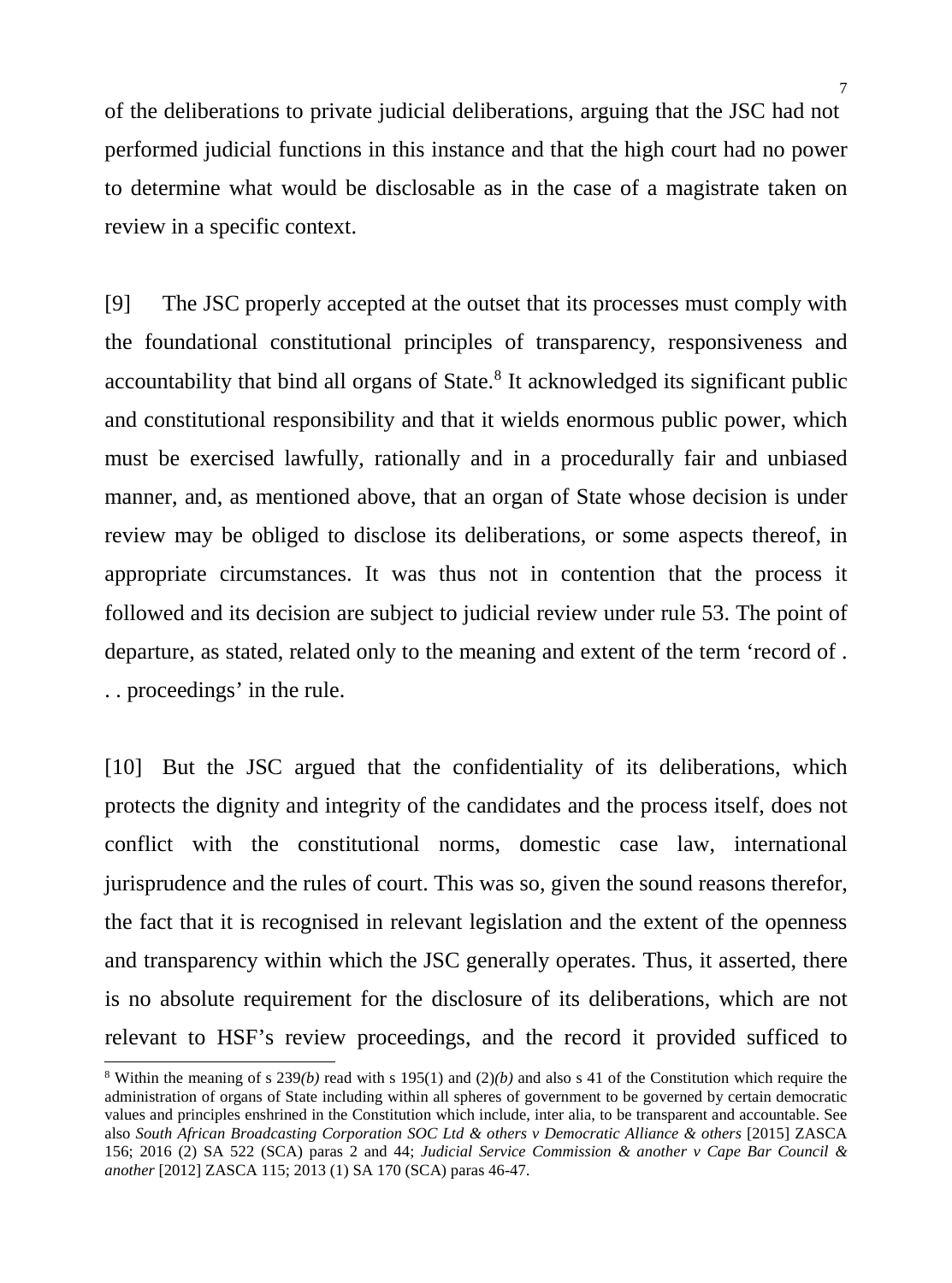of the deliberations to private judicial deliberations, arguing that the JSC had not performed judicial functions in this instance and that the high court had no power to determine what would be disclosable as in the case of a magistrate taken on review in a specific context.

[9] The JSC properly accepted at the outset that its processes must comply with the foundational constitutional principles of transparency, responsiveness and accountability that bind all organs of State. [8](#page-6-0) It acknowledged its significant public and constitutional responsibility and that it wields enormous public power, which must be exercised lawfully, rationally and in a procedurally fair and unbiased manner, and, as mentioned above, that an organ of State whose decision is under review may be obliged to disclose its deliberations, or some aspects thereof, in appropriate circumstances. It was thus not in contention that the process it followed and its decision are subject to judicial review under rule 53. The point of departure, as stated, related only to the meaning and extent of the term 'record of . . . proceedings' in the rule.

[10] But the JSC argued that the confidentiality of its deliberations, which protects the dignity and integrity of the candidates and the process itself, does not conflict with the constitutional norms, domestic case law, international jurisprudence and the rules of court. This was so, given the sound reasons therefor, the fact that it is recognised in relevant legislation and the extent of the openness and transparency within which the JSC generally operates. Thus, it asserted, there is no absolute requirement for the disclosure of its deliberations, which are not relevant to HSF's review proceedings, and the record it provided sufficed to  $\frac{8 \text{ Within the meaning of s } 239(b) \text{ read with s } 195(1) \text{ and } (2)(b) \text{ and also s } 41 \text{ of the Constitution which require the}}$ 

<span id="page-6-0"></span>administration of organs of State including within all spheres of government to be governed by certain democratic values and principles enshrined in the Constitution which include, inter alia, to be transparent and accountable. See also *South African Broadcasting Corporation SOC Ltd & others v Democratic Alliance & others* [2015] ZASCA 156; 2016 (2) SA 522 (SCA) paras 2 and 44; *Judicial Service Commission & another v Cape Bar Council & another* [2012] ZASCA 115; 2013 (1) SA 170 (SCA) paras 46-47.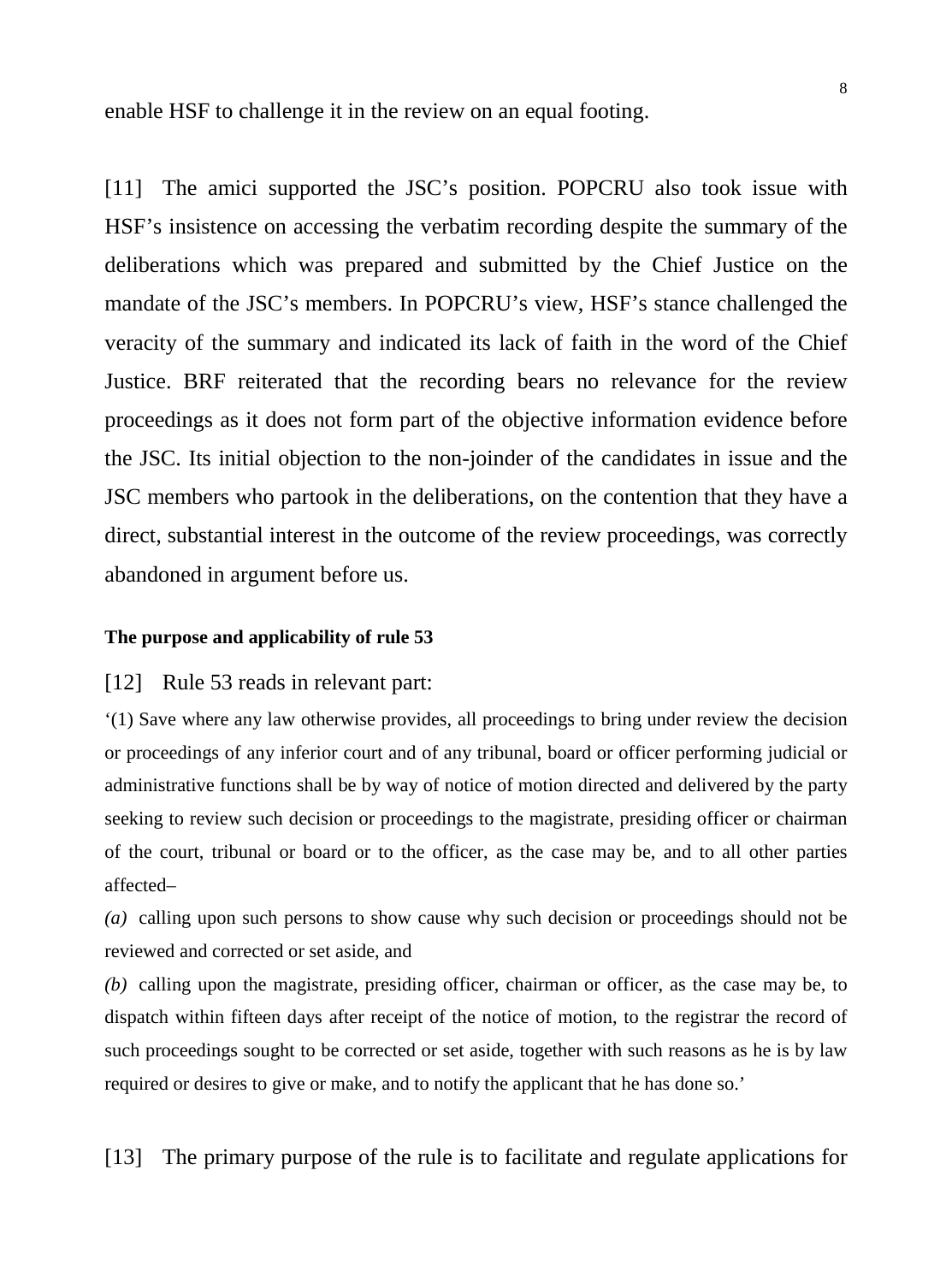enable HSF to challenge it in the review on an equal footing.

[11] The amici supported the JSC's position. POPCRU also took issue with HSF's insistence on accessing the verbatim recording despite the summary of the deliberations which was prepared and submitted by the Chief Justice on the mandate of the JSC's members. In POPCRU's view, HSF's stance challenged the veracity of the summary and indicated its lack of faith in the word of the Chief Justice. BRF reiterated that the recording bears no relevance for the review proceedings as it does not form part of the objective information evidence before the JSC. Its initial objection to the non-joinder of the candidates in issue and the JSC members who partook in the deliberations, on the contention that they have a direct, substantial interest in the outcome of the review proceedings, was correctly abandoned in argument before us.

#### **The purpose and applicability of rule 53**

#### [12] Rule 53 reads in relevant part:

'(1) Save where any law otherwise provides, all proceedings to bring under review the decision or proceedings of any inferior court and of any tribunal, board or officer performing judicial or administrative functions shall be by way of notice of motion directed and delivered by the party seeking to review such decision or proceedings to the magistrate, presiding officer or chairman of the court, tribunal or board or to the officer, as the case may be, and to all other parties affected–

*(a)* calling upon such persons to show cause why such decision or proceedings should not be reviewed and corrected or set aside, and

*(b)* calling upon the magistrate, presiding officer, chairman or officer, as the case may be, to dispatch within fifteen days after receipt of the notice of motion, to the registrar the record of such proceedings sought to be corrected or set aside, together with such reasons as he is by law required or desires to give or make, and to notify the applicant that he has done so.'

[13] The primary purpose of the rule is to facilitate and regulate applications for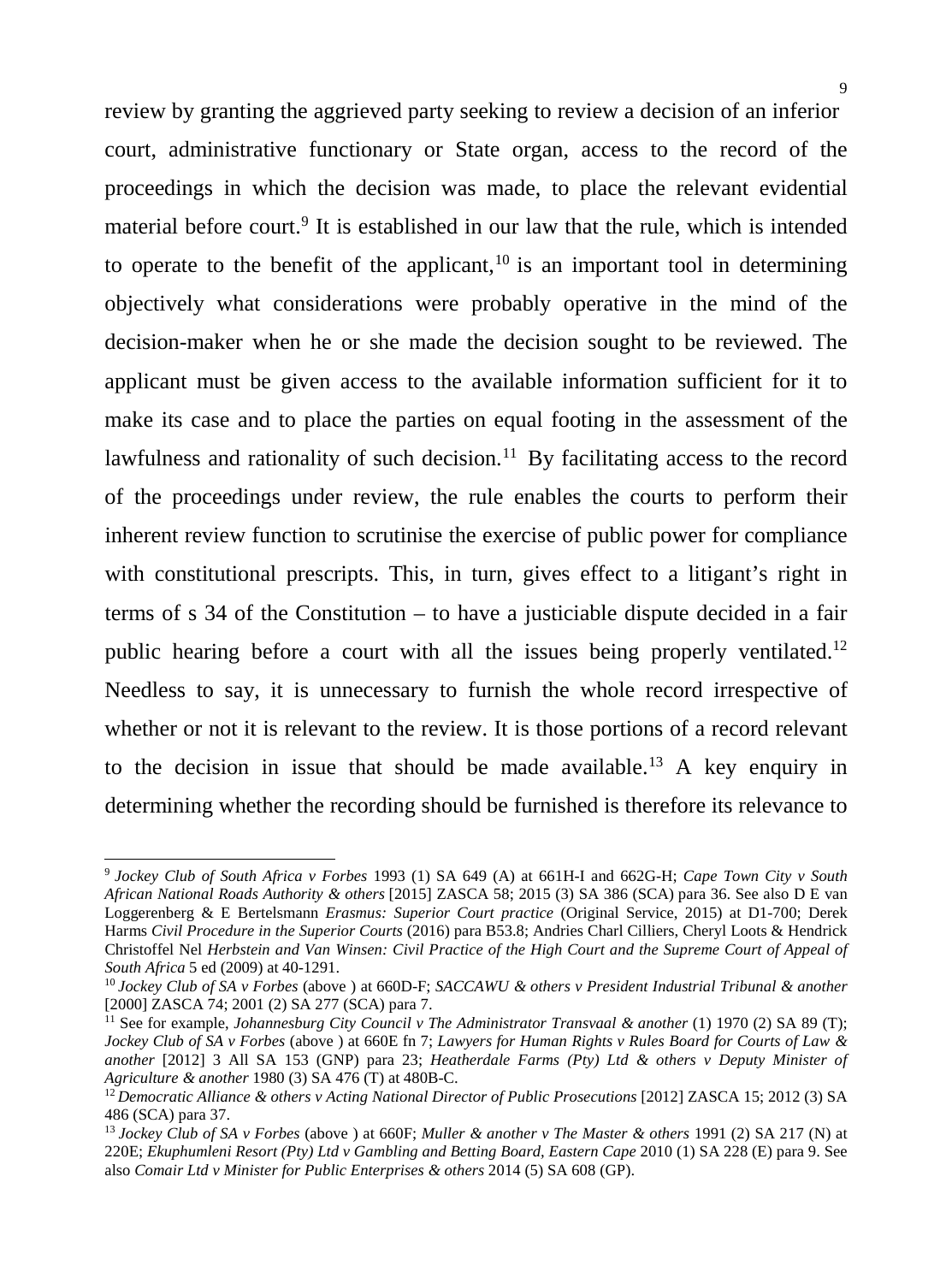review by granting the aggrieved party seeking to review a decision of an inferior court, administrative functionary or State organ, access to the record of the proceedings in which the decision was made, to place the relevant evidential material before court.<sup>[9](#page-8-0)</sup> It is established in our law that the rule, which is intended to operate to the benefit of the applicant,  $10$  is an important tool in determining objectively what considerations were probably operative in the mind of the decision-maker when he or she made the decision sought to be reviewed. The applicant must be given access to the available information sufficient for it to make its case and to place the parties on equal footing in the assessment of the lawfulness and rationality of such decision.<sup>[11](#page-8-2)</sup> By facilitating access to the record of the proceedings under review, the rule enables the courts to perform their inherent review function to scrutinise the exercise of public power for compliance with constitutional prescripts. This, in turn, gives effect to a litigant's right in terms of s 34 of the Constitution – to have a justiciable dispute decided in a fair public hearing before a court with all the issues being properly ventilated.<sup>[12](#page-8-3)</sup> Needless to say, it is unnecessary to furnish the whole record irrespective of whether or not it is relevant to the review. It is those portions of a record relevant to the decision in issue that should be made available.<sup>[13](#page-8-4)</sup> A key enquiry in determining whether the recording should be furnished is therefore its relevance to

<span id="page-8-0"></span><sup>9</sup> *Jockey Club of South Africa v Forbes* 1993 (1) SA 649 (A) at 661H-I and 662G-H; *Cape Town City v South African National Roads Authority & others* [2015] ZASCA 58; 2015 (3) SA 386 (SCA) para 36. See also D E van Loggerenberg & E Bertelsmann *Erasmus: Superior Court practice* (Original Service, 2015) at D1-700; Derek Harms *Civil Procedure in the Superior Courts* (2016) para B53.8; Andries Charl Cilliers, Cheryl Loots & Hendrick Christoffel Nel *Herbstein and Van Winsen: Civil Practice of the High Court and the Supreme Court of Appeal of South Africa* 5 ed (2009) at 40-1291.

<span id="page-8-1"></span><sup>10</sup> *Jockey Club of SA v Forbes* (above ) at 660D-F; *SACCAWU & others v President Industrial Tribunal & another* [2000] ZASCA 74; 2001 (2) SA 277 (SCA) para 7.

<span id="page-8-2"></span><sup>&</sup>lt;sup>11</sup> See for example, *Johannesburg City Council v The Administrator Transvaal & another* (1) 1970 (2) SA 89 (T); *Jockey Club of SA v Forbes* (above ) at 660E fn 7; *Lawyers for Human Rights v Rules Board for Courts of Law & another* [2012] 3 All SA 153 (GNP) para 23; *Heatherdale Farms (Pty) Ltd & others v Deputy Minister of Agriculture & another* 1980 (3) SA 476 (T) at 480B-C.<br><sup>12</sup> Democratic Alliance & others v Acting National Director of Public Prosecutions [2012] ZASCA 15; 2012 (3) SA

<span id="page-8-3"></span><sup>486 (</sup>SCA) para 37.

<span id="page-8-4"></span><sup>13</sup> *Jockey Club of SA v Forbes* (above ) at 660F; *Muller & another v The Master & others* 1991 (2) SA 217 (N) at 220E; *Ekuphumleni Resort (Pty) Ltd v Gambling and Betting Board, Eastern Cape* 2010 (1) SA 228 (E) para 9. See also *Comair Ltd v Minister for Public Enterprises & others* 2014 (5) SA 608 (GP).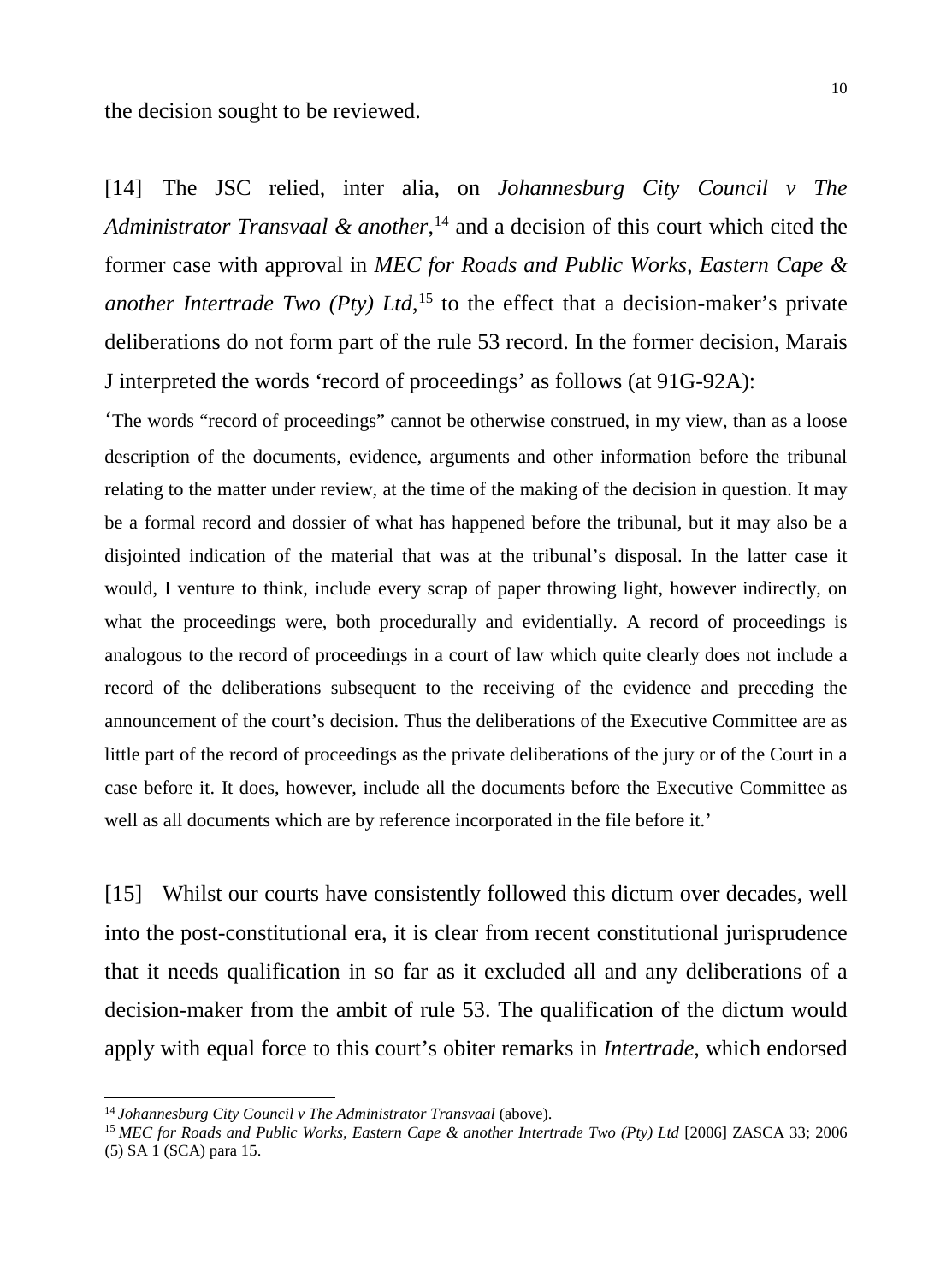the decision sought to be reviewed.

[14] The JSC relied, inter alia, on *Johannesburg City Council v The Administrator Transvaal & another*, [14](#page-9-0) and a decision of this court which cited the former case with approval in *MEC for Roads and Public Works, Eastern Cape & another Intertrade Two (Pty) Ltd*, [15](#page-9-1) to the effect that a decision-maker's private deliberations do not form part of the rule 53 record. In the former decision, Marais J interpreted the words 'record of proceedings' as follows (at 91G-92A):

'The words "record of proceedings" cannot be otherwise construed, in my view, than as a loose description of the documents, evidence, arguments and other information before the tribunal relating to the matter under review, at the time of the making of the decision in question. It may be a formal record and dossier of what has happened before the tribunal, but it may also be a disjointed indication of the material that was at the tribunal's disposal. In the latter case it would, I venture to think, include every scrap of paper throwing light, however indirectly, on what the proceedings were, both procedurally and evidentially. A record of proceedings is analogous to the record of proceedings in a court of law which quite clearly does not include a record of the deliberations subsequent to the receiving of the evidence and preceding the announcement of the court's decision. Thus the deliberations of the Executive Committee are as little part of the record of proceedings as the private deliberations of the jury or of the Court in a case before it. It does, however, include all the documents before the Executive Committee as well as all documents which are by reference incorporated in the file before it.'

[15] Whilst our courts have consistently followed this dictum over decades, well into the post-constitutional era, it is clear from recent constitutional jurisprudence that it needs qualification in so far as it excluded all and any deliberations of a decision-maker from the ambit of rule 53. The qualification of the dictum would apply with equal force to this court's obiter remarks in *Intertrade*, which endorsed

<span id="page-9-0"></span><sup>&</sup>lt;sup>14</sup> Johannesburg City Council v The Administrator Transvaal (above).

<span id="page-9-1"></span><sup>15</sup> *MEC for Roads and Public Works, Eastern Cape & another Intertrade Two (Pty) Ltd* [2006] ZASCA 33; 2006 (5) SA 1 (SCA) para 15.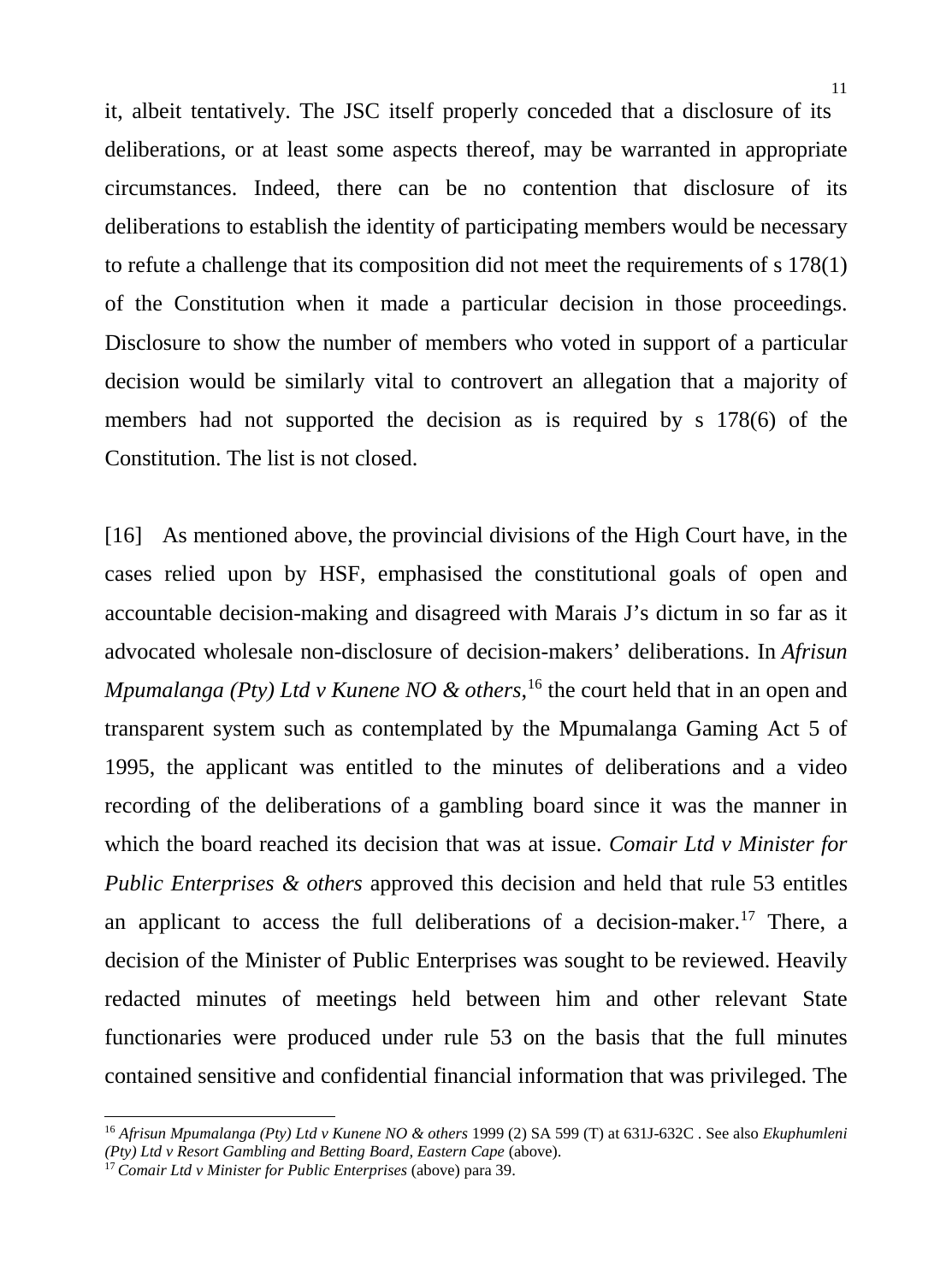it, albeit tentatively. The JSC itself properly conceded that a disclosure of its deliberations, or at least some aspects thereof, may be warranted in appropriate circumstances. Indeed, there can be no contention that disclosure of its deliberations to establish the identity of participating members would be necessary to refute a challenge that its composition did not meet the requirements of s 178(1) of the Constitution when it made a particular decision in those proceedings. Disclosure to show the number of members who voted in support of a particular decision would be similarly vital to controvert an allegation that a majority of members had not supported the decision as is required by s 178(6) of the Constitution. The list is not closed.

[16] As mentioned above, the provincial divisions of the High Court have, in the cases relied upon by HSF, emphasised the constitutional goals of open and accountable decision-making and disagreed with Marais J's dictum in so far as it advocated wholesale non-disclosure of decision-makers' deliberations. In *Afrisun Mpumalanga (Pty) Ltd v Kunene NO & others*, [16](#page-10-0) the court held that in an open and transparent system such as contemplated by the Mpumalanga Gaming Act 5 of 1995, the applicant was entitled to the minutes of deliberations and a video recording of the deliberations of a gambling board since it was the manner in which the board reached its decision that was at issue. *Comair Ltd v Minister for Public Enterprises & others* approved this decision and held that rule 53 entitles an applicant to access the full deliberations of a decision-maker.<sup>[17](#page-10-1)</sup> There, a decision of the Minister of Public Enterprises was sought to be reviewed. Heavily redacted minutes of meetings held between him and other relevant State functionaries were produced under rule 53 on the basis that the full minutes contained sensitive and confidential financial information that was privileged. The

<span id="page-10-0"></span><sup>16</sup> *Afrisun Mpumalanga (Pty) Ltd v Kunene NO & others* 1999 (2) SA 599 (T) at 631J-632C . See also *Ekuphumleni (Pty) Ltd v Resort Gambling and Betting Board, Eastern Cape* (above).

<span id="page-10-1"></span><sup>17</sup> *Comair Ltd v Minister for Public Enterprises* (above) para 39.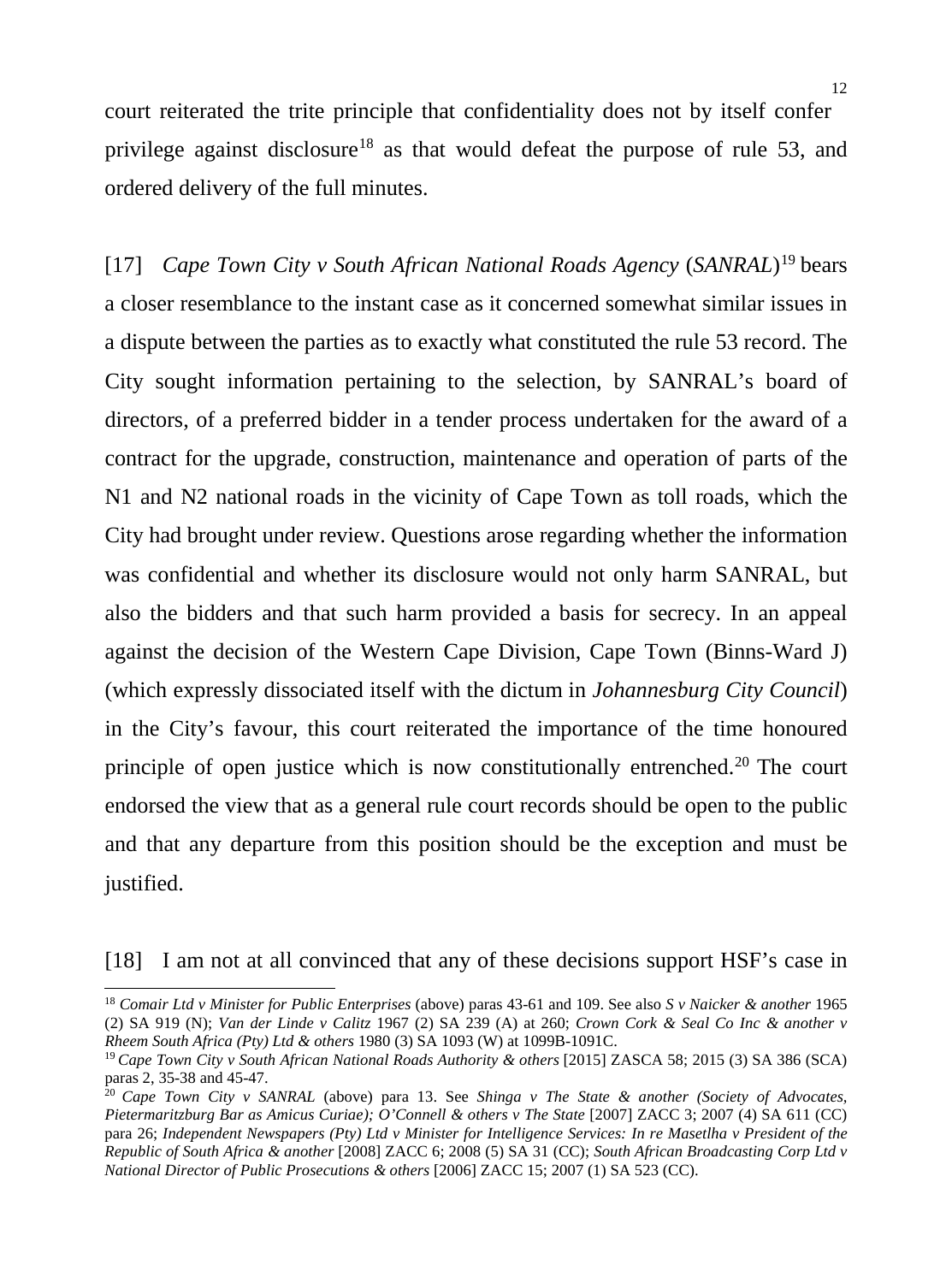court reiterated the trite principle that confidentiality does not by itself confer privilege against disclosure<sup>[18](#page-11-0)</sup> as that would defeat the purpose of rule 53, and ordered delivery of the full minutes.

[17] *Cape Town City v South African National Roads Agency* (*SANRAL*)[19](#page-11-1) bears a closer resemblance to the instant case as it concerned somewhat similar issues in a dispute between the parties as to exactly what constituted the rule 53 record. The City sought information pertaining to the selection, by SANRAL's board of directors, of a preferred bidder in a tender process undertaken for the award of a contract for the upgrade, construction, maintenance and operation of parts of the N1 and N2 national roads in the vicinity of Cape Town as toll roads, which the City had brought under review. Questions arose regarding whether the information was confidential and whether its disclosure would not only harm SANRAL, but also the bidders and that such harm provided a basis for secrecy. In an appeal against the decision of the Western Cape Division, Cape Town (Binns-Ward J) (which expressly dissociated itself with the dictum in *Johannesburg City Council*) in the City's favour, this court reiterated the importance of the time honoured principle of open justice which is now constitutionally entrenched.<sup>20</sup> The court endorsed the view that as a general rule court records should be open to the public and that any departure from this position should be the exception and must be justified.

-

<sup>[18]</sup> I am not at all convinced that any of these decisions support HSF's case in

<span id="page-11-0"></span><sup>18</sup> *Comair Ltd v Minister for Public Enterprises* (above) paras 43-61 and 109. See also *S v Naicker & another* 1965 (2) SA 919 (N); *Van der Linde v Calitz* 1967 (2) SA 239 (A) at 260; *Crown Cork & Seal Co Inc & another v Rheem South Africa (Pty) Ltd & others* 1980 (3) SA 1093 (W) at 1099B-1091C.

<span id="page-11-1"></span><sup>19</sup> *Cape Town City v South African National Roads Authority & others* [2015] ZASCA 58; 2015 (3) SA 386 (SCA) paras 2, 35-38 and 45-47.

<span id="page-11-2"></span><sup>20</sup> *Cape Town City v SANRAL* (above) para 13. See *Shinga v The State & another (Society of Advocates, Pietermaritzburg Bar as Amicus Curiae); O'Connell & others v The State* [2007] ZACC 3; 2007 (4) SA 611 (CC) para 26; *Independent Newspapers (Pty) Ltd v Minister for Intelligence Services: In re Masetlha v President of the Republic of South Africa & another* [2008] ZACC 6; 2008 (5) SA 31 (CC); *South African Broadcasting Corp Ltd v National Director of Public Prosecutions & others* [2006] ZACC 15; 2007 (1) SA 523 (CC).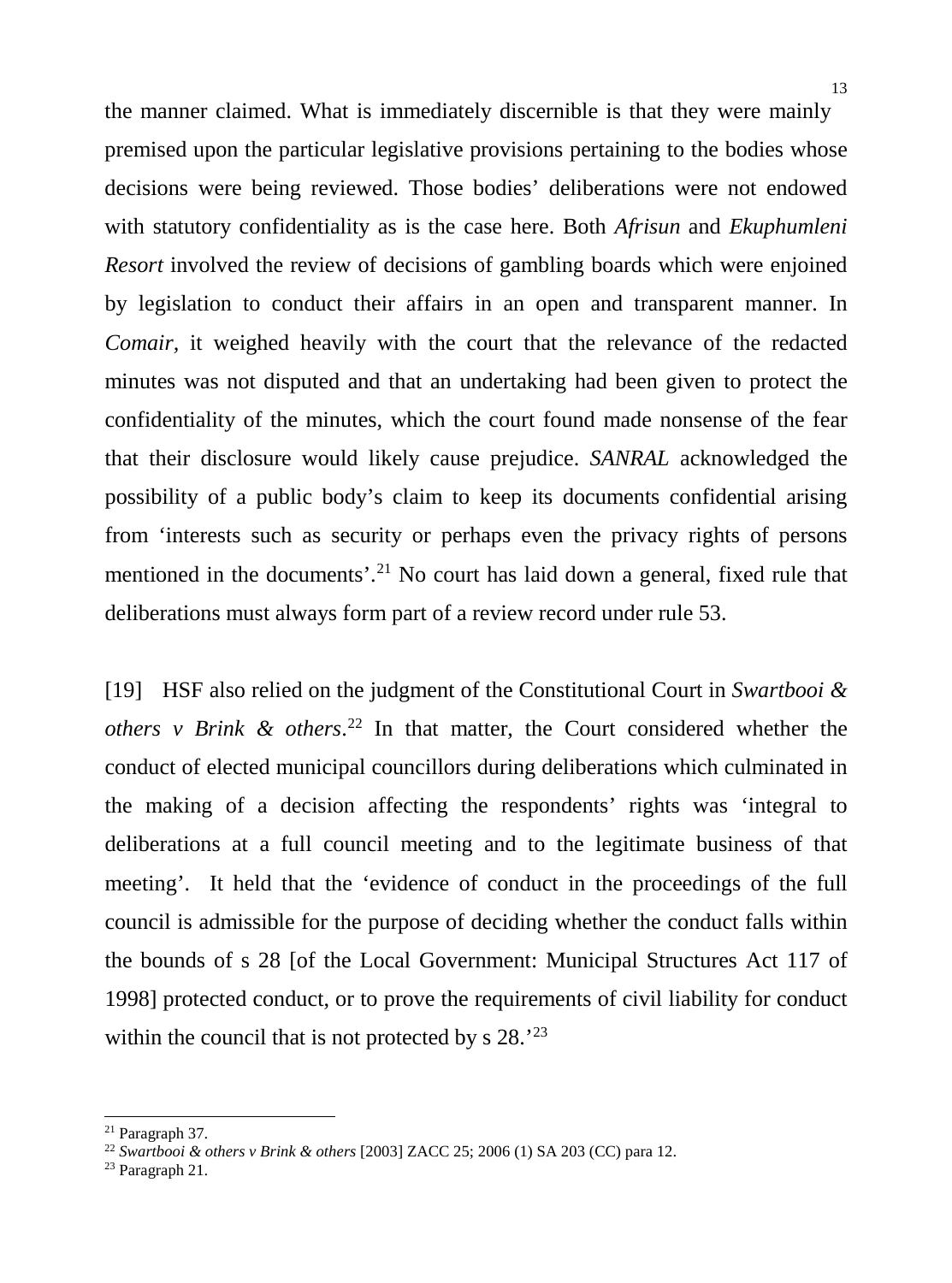the manner claimed. What is immediately discernible is that they were mainly premised upon the particular legislative provisions pertaining to the bodies whose decisions were being reviewed. Those bodies' deliberations were not endowed with statutory confidentiality as is the case here. Both *Afrisun* and *Ekuphumleni Resort* involved the review of decisions of gambling boards which were enjoined by legislation to conduct their affairs in an open and transparent manner. In *Comair,* it weighed heavily with the court that the relevance of the redacted minutes was not disputed and that an undertaking had been given to protect the confidentiality of the minutes, which the court found made nonsense of the fear that their disclosure would likely cause prejudice. *SANRAL* acknowledged the possibility of a public body's claim to keep its documents confidential arising from 'interests such as security or perhaps even the privacy rights of persons mentioned in the documents'.<sup>[21](#page-12-0)</sup> No court has laid down a general, fixed rule that deliberations must always form part of a review record under rule 53.

[19] HSF also relied on the judgment of the Constitutional Court in *Swartbooi & others v Brink & others*. [22](#page-12-1) In that matter, the Court considered whether the conduct of elected municipal councillors during deliberations which culminated in the making of a decision affecting the respondents' rights was 'integral to deliberations at a full council meeting and to the legitimate business of that meeting'. It held that the 'evidence of conduct in the proceedings of the full council is admissible for the purpose of deciding whether the conduct falls within the bounds of s 28 [of the Local Government: Municipal Structures Act 117 of 1998] protected conduct, or to prove the requirements of civil liability for conduct within the council that is not protected by s 28.<sup>'[23](#page-12-2)</sup>

<span id="page-12-0"></span><sup>21</sup> Paragraph 37.

<span id="page-12-1"></span><sup>22</sup> *Swartbooi & others v Brink & others* [2003] ZACC 25; 2006 (1) SA 203 (CC) para 12.

<span id="page-12-2"></span><sup>23</sup> Paragraph 21.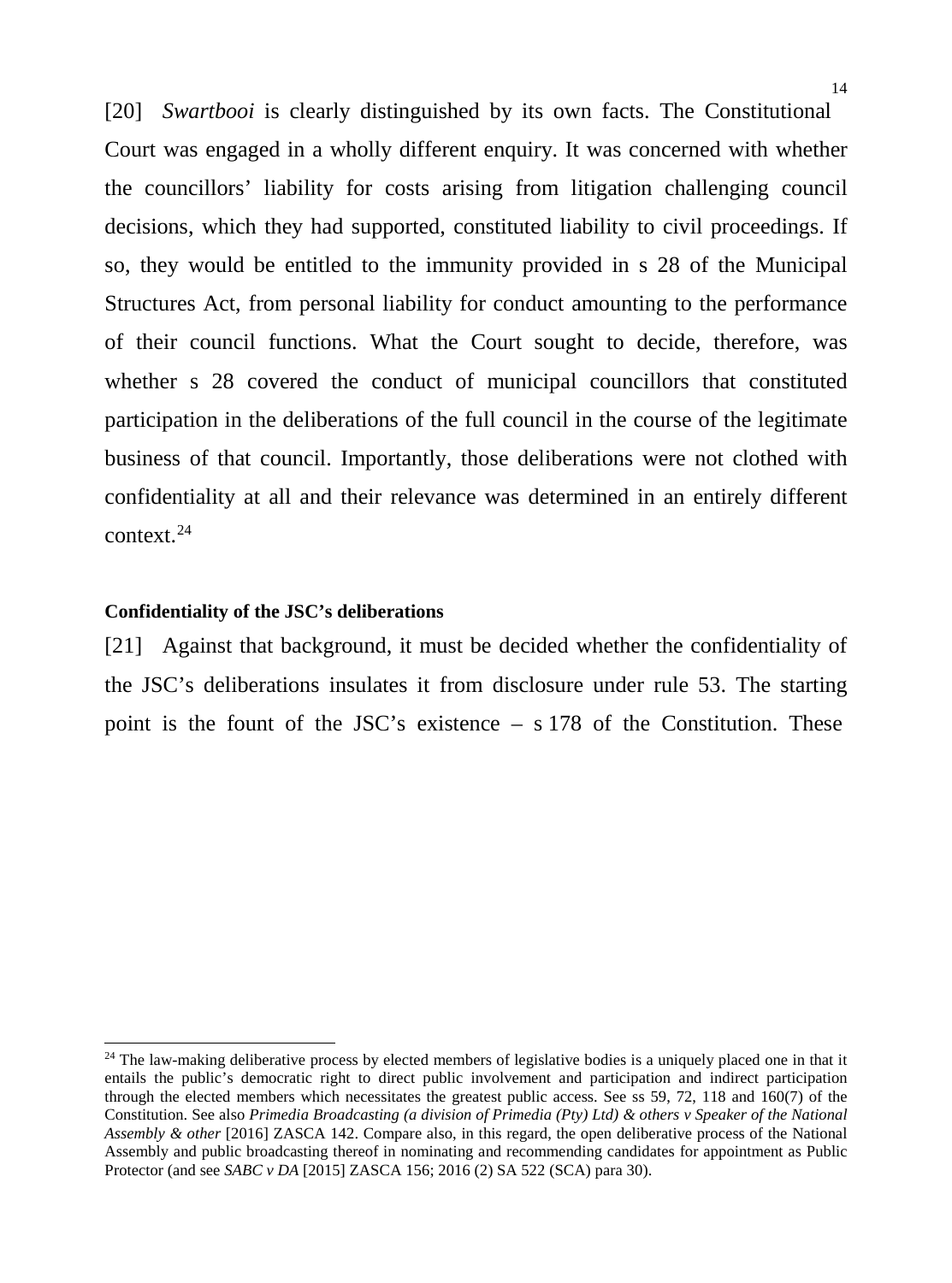[20] *Swartbooi* is clearly distinguished by its own facts. The Constitutional Court was engaged in a wholly different enquiry. It was concerned with whether the councillors' liability for costs arising from litigation challenging council decisions, which they had supported, constituted liability to civil proceedings. If so, they would be entitled to the immunity provided in s 28 of the Municipal Structures Act, from personal liability for conduct amounting to the performance of their council functions. What the Court sought to decide, therefore, was whether s 28 covered the conduct of municipal councillors that constituted participation in the deliberations of the full council in the course of the legitimate business of that council. Importantly, those deliberations were not clothed with confidentiality at all and their relevance was determined in an entirely different context.[24](#page-13-0)

### **Confidentiality of the JSC's deliberations**

j

[21] Against that background, it must be decided whether the confidentiality of the JSC's deliberations insulates it from disclosure under rule 53. The starting point is the fount of the JSC's existence – s 178 of the Constitution. These

<span id="page-13-0"></span> $24$  The law-making deliberative process by elected members of legislative bodies is a uniquely placed one in that it entails the public's democratic right to direct public involvement and participation and indirect participation through the elected members which necessitates the greatest public access. See ss 59, 72, 118 and 160(7) of the Constitution. See also *Primedia Broadcasting (a division of Primedia (Pty) Ltd) & others v Speaker of the National Assembly & other* [2016] ZASCA 142. Compare also, in this regard, the open deliberative process of the National Assembly and public broadcasting thereof in nominating and recommending candidates for appointment as Public Protector (and see *SABC v DA* [2015] ZASCA 156; 2016 (2) SA 522 (SCA) para 30).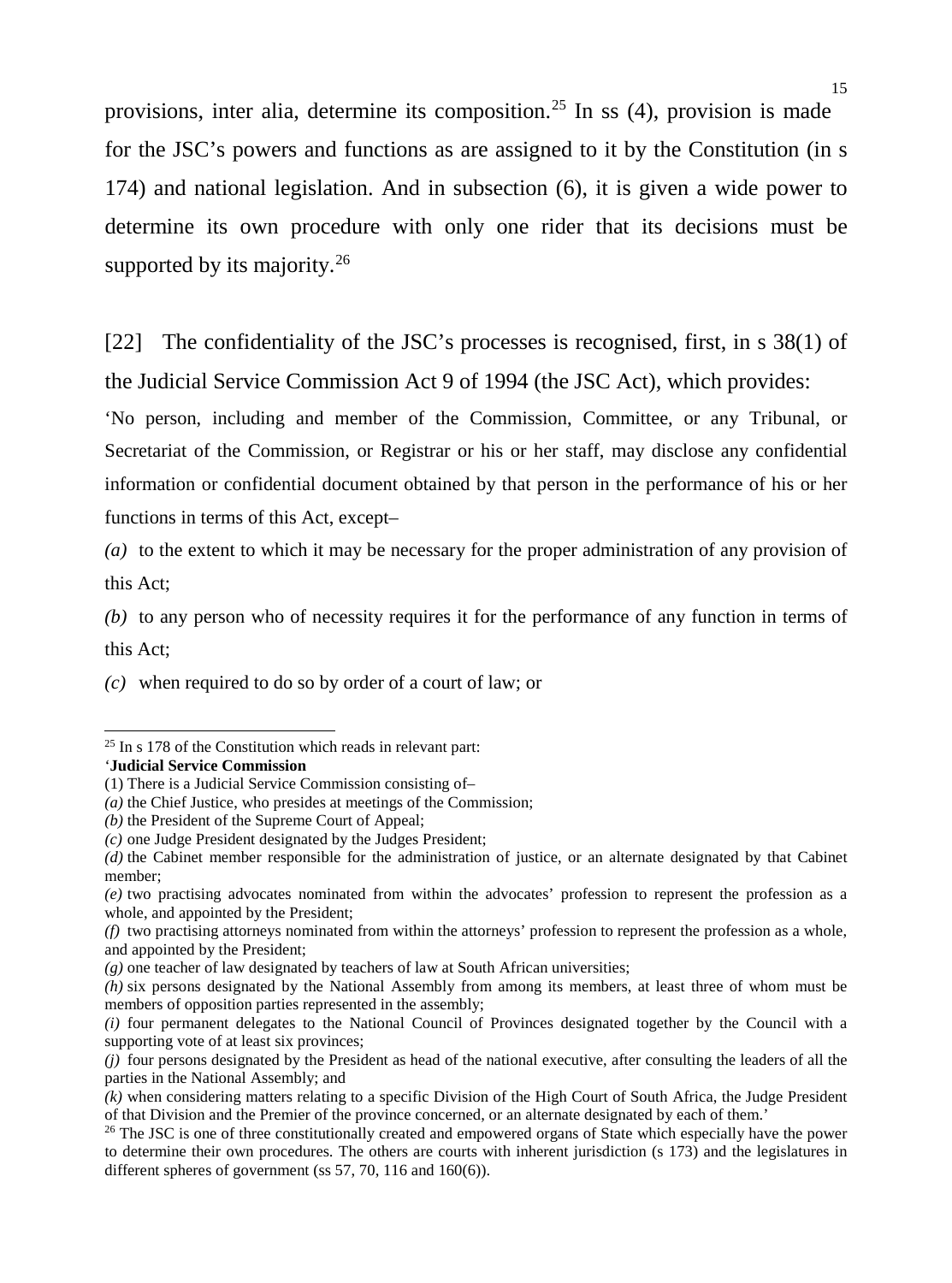provisions, inter alia, determine its composition. [25](#page-14-0) In ss (4), provision is made for the JSC's powers and functions as are assigned to it by the Constitution (in s 174) and national legislation. And in subsection (6), it is given a wide power to determine its own procedure with only one rider that its decisions must be supported by its majority.<sup>[26](#page-14-1)</sup>

[22] The confidentiality of the JSC's processes is recognised, first, in s 38(1) of the Judicial Service Commission Act 9 of 1994 (the JSC Act), which provides:

'No person, including and member of the Commission, Committee, or any Tribunal, or Secretariat of the Commission, or Registrar or his or her staff, may disclose any confidential information or confidential document obtained by that person in the performance of his or her functions in terms of this Act, except–

*(a)* to the extent to which it may be necessary for the proper administration of any provision of this Act;

*(b)* to any person who of necessity requires it for the performance of any function in terms of this Act;

*(c)* when required to do so by order of a court of law; or

'**Judicial Service Commission**

-

<span id="page-14-0"></span> $25$  In s 178 of the Constitution which reads in relevant part:

<sup>(1)</sup> There is a Judicial Service Commission consisting of–

*<sup>(</sup>a)* the Chief Justice, who presides at meetings of the Commission;

*<sup>(</sup>b)* the President of the Supreme Court of Appeal;

*<sup>(</sup>c)* one Judge President designated by the Judges President;

*<sup>(</sup>d)* the Cabinet member responsible for the administration of justice, or an alternate designated by that Cabinet member;

*<sup>(</sup>e)* two practising advocates nominated from within the advocates' profession to represent the profession as a whole, and appointed by the President:

*<sup>(</sup>f)* two practising attorneys nominated from within the attorneys' profession to represent the profession as a whole, and appointed by the President;

*<sup>(</sup>g)* one teacher of law designated by teachers of law at South African universities;

*<sup>(</sup>h)* six persons designated by the National Assembly from among its members, at least three of whom must be members of opposition parties represented in the assembly;

*<sup>(</sup>i)* four permanent delegates to the National Council of Provinces designated together by the Council with a supporting vote of at least six provinces;

*<sup>(</sup>j)* four persons designated by the President as head of the national executive, after consulting the leaders of all the parties in the National Assembly; and

*<sup>(</sup>k)* when considering matters relating to a specific Division of the High Court of South Africa, the Judge President of that Division and the Premier of the province concerned, or an alternate designated by each of them.'

<span id="page-14-1"></span><sup>&</sup>lt;sup>26</sup> The JSC is one of three constitutionally created and empowered organs of State which especially have the power to determine their own procedures. The others are courts with inherent jurisdiction (s 173) and the legislatures in different spheres of government (ss  $57, 70, 116$  and  $160(6)$ ).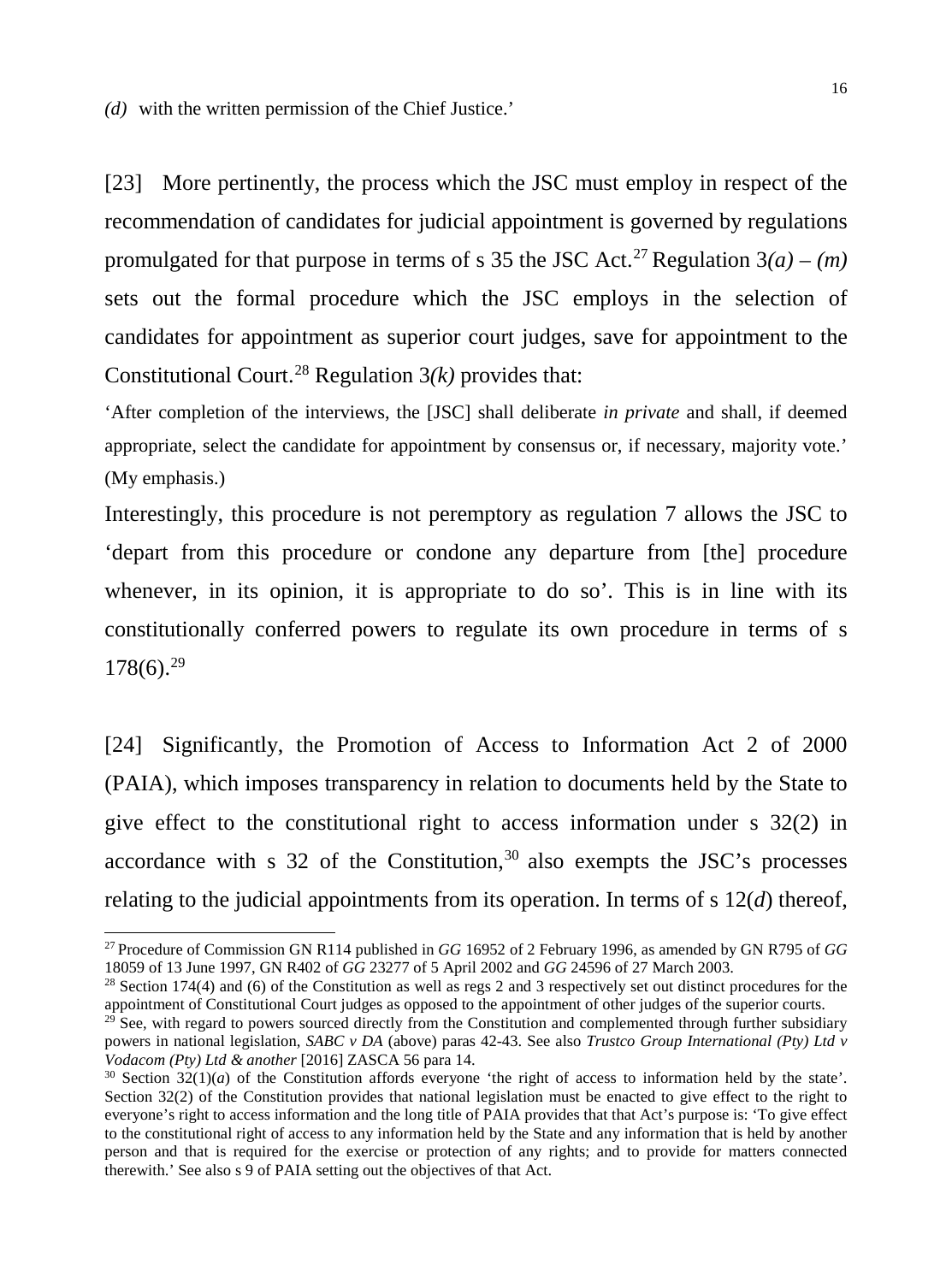*(d)* with the written permission of the Chief Justice.'

-

[23] More pertinently, the process which the JSC must employ in respect of the recommendation of candidates for judicial appointment is governed by regulations promulgated for that purpose in terms of s 35 the JSC Act.<sup>[27](#page-15-0)</sup> Regulation  $3(a) - (m)$ sets out the formal procedure which the JSC employs in the selection of candidates for appointment as superior court judges, save for appointment to the Constitutional Court. [28](#page-15-1) Regulation 3*(k)* provides that:

'After completion of the interviews, the [JSC] shall deliberate *in private* and shall, if deemed appropriate, select the candidate for appointment by consensus or, if necessary, majority vote.' (My emphasis.)

Interestingly, this procedure is not peremptory as regulation 7 allows the JSC to 'depart from this procedure or condone any departure from [the] procedure whenever, in its opinion, it is appropriate to do so'. This is in line with its constitutionally conferred powers to regulate its own procedure in terms of s 178(6). [29](#page-15-2)

[24] Significantly, the Promotion of Access to Information Act 2 of 2000 (PAIA), which imposes transparency in relation to documents held by the State to give effect to the constitutional right to access information under s 32(2) in accordance with s  $32$  of the Constitution,<sup>30</sup> also exempts the JSC's processes relating to the judicial appointments from its operation. In terms of s 12(*d*) thereof,

<span id="page-15-0"></span><sup>27</sup> Procedure of Commission GN R114 published in *GG* 16952 of 2 February 1996, as amended by GN R795 of *GG* 18059 of 13 June 1997, GN R402 of *GG* 23277 of 5 April 2002 and *GG* 24596 of 27 March 2003.

<span id="page-15-1"></span> $28$  Section 174(4) and (6) of the Constitution as well as regs 2 and 3 respectively set out distinct procedures for the appointment of Constitutional Court judges as opposed to the appointment of other judges of the superior courts.

<span id="page-15-2"></span> $29\overline{)}$  See, with regard to powers sourced directly from the Constitution and complemented through further subsidiary powers in national legislation, *SABC v DA* (above) paras 42-43. See also *Trustco Group International (Pty) Ltd v Vodacom (Pty) Ltd & another* [2016] ZASCA 56 para 14.

<span id="page-15-3"></span> $30$  Section  $32(1)(a)$  of the Constitution affords everyone 'the right of access to information held by the state'. Section 32(2) of the Constitution provides that national legislation must be enacted to give effect to the right to everyone's right to access information and the long title of PAIA provides that that Act's purpose is: 'To give effect to the constitutional right of access to any information held by the State and any information that is held by another person and that is required for the exercise or protection of any rights; and to provide for matters connected therewith.' See also s 9 of PAIA setting out the objectives of that Act.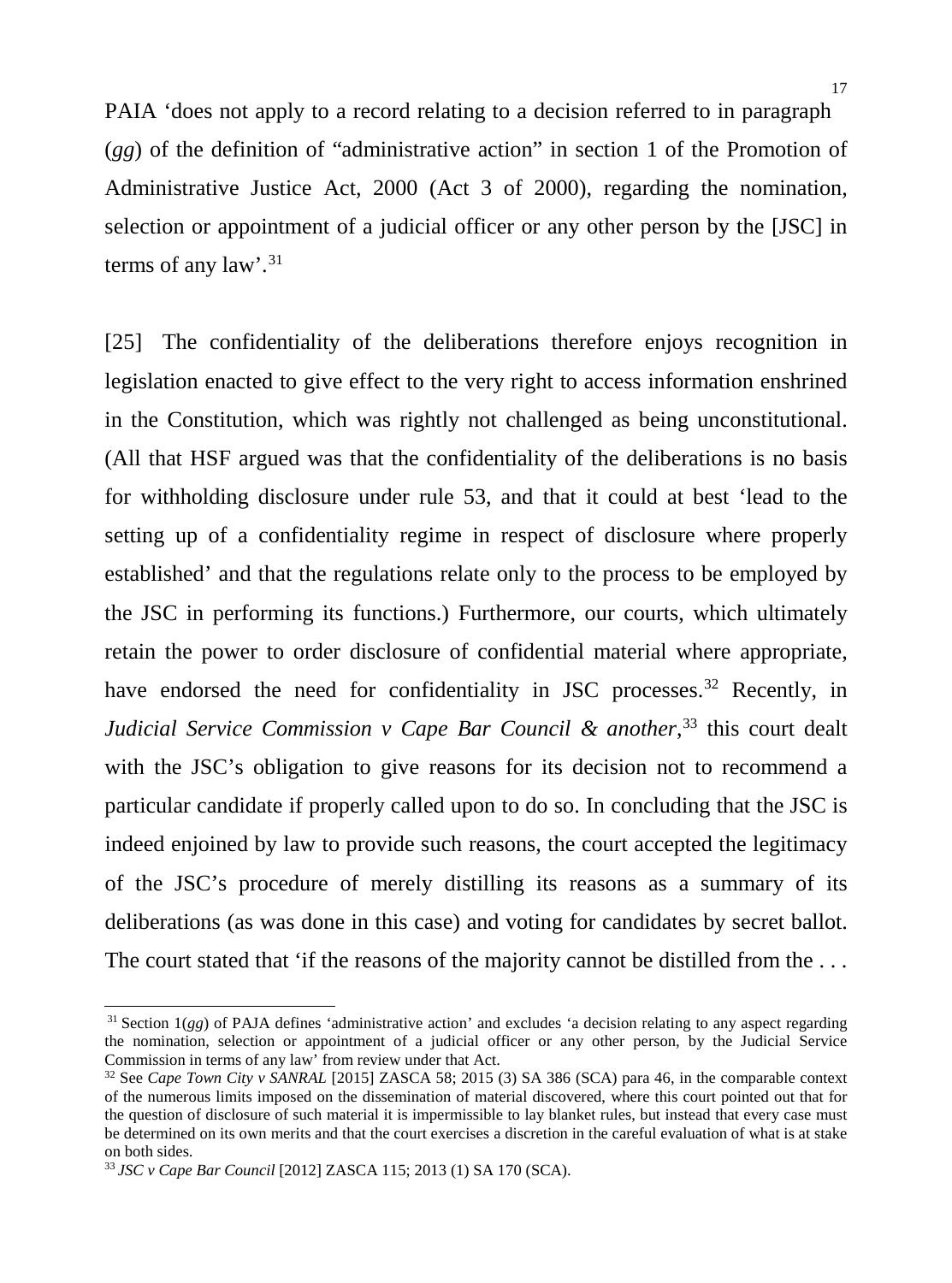PAIA 'does not apply to a record relating to a decision referred to in paragraph (*gg*) of the definition of "administrative action" in section 1 of the Promotion of Administrative Justice Act, 2000 (Act 3 of 2000), regarding the nomination, selection or appointment of a judicial officer or any other person by the [JSC] in terms of any  $law^{\frac{31}{3}}$  $law^{\frac{31}{3}}$  $law^{\frac{31}{3}}$ 

[25] The confidentiality of the deliberations therefore enjoys recognition in legislation enacted to give effect to the very right to access information enshrined in the Constitution, which was rightly not challenged as being unconstitutional. (All that HSF argued was that the confidentiality of the deliberations is no basis for withholding disclosure under rule 53, and that it could at best 'lead to the setting up of a confidentiality regime in respect of disclosure where properly established' and that the regulations relate only to the process to be employed by the JSC in performing its functions.) Furthermore, our courts, which ultimately retain the power to order disclosure of confidential material where appropriate, have endorsed the need for confidentiality in JSC processes.<sup>[32](#page-16-1)</sup> Recently, in *Judicial Service Commission v Cape Bar Council & another*, [33](#page-16-2) this court dealt with the JSC's obligation to give reasons for its decision not to recommend a particular candidate if properly called upon to do so. In concluding that the JSC is indeed enjoined by law to provide such reasons, the court accepted the legitimacy of the JSC's procedure of merely distilling its reasons as a summary of its deliberations (as was done in this case) and voting for candidates by secret ballot. The court stated that 'if the reasons of the majority cannot be distilled from the ...

<span id="page-16-0"></span> $31$  Section  $1(gg)$  of PAJA defines 'administrative action' and excludes 'a decision relating to any aspect regarding the nomination, selection or appointment of a judicial officer or any other person, by the Judicial Service Commission in terms of any law' from review under that Act.

<span id="page-16-1"></span><sup>32</sup> See *Cape Town City v SANRAL* [2015] ZASCA 58; 2015 (3) SA 386 (SCA) para 46, in the comparable context of the numerous limits imposed on the dissemination of material discovered, where this court pointed out that for the question of disclosure of such material it is impermissible to lay blanket rules, but instead that every case must be determined on its own merits and that the court exercises a discretion in the careful evaluation of what is at stake on both sides.

<span id="page-16-2"></span><sup>33</sup> *JSC v Cape Bar Council* [2012] ZASCA 115; 2013 (1) SA 170 (SCA).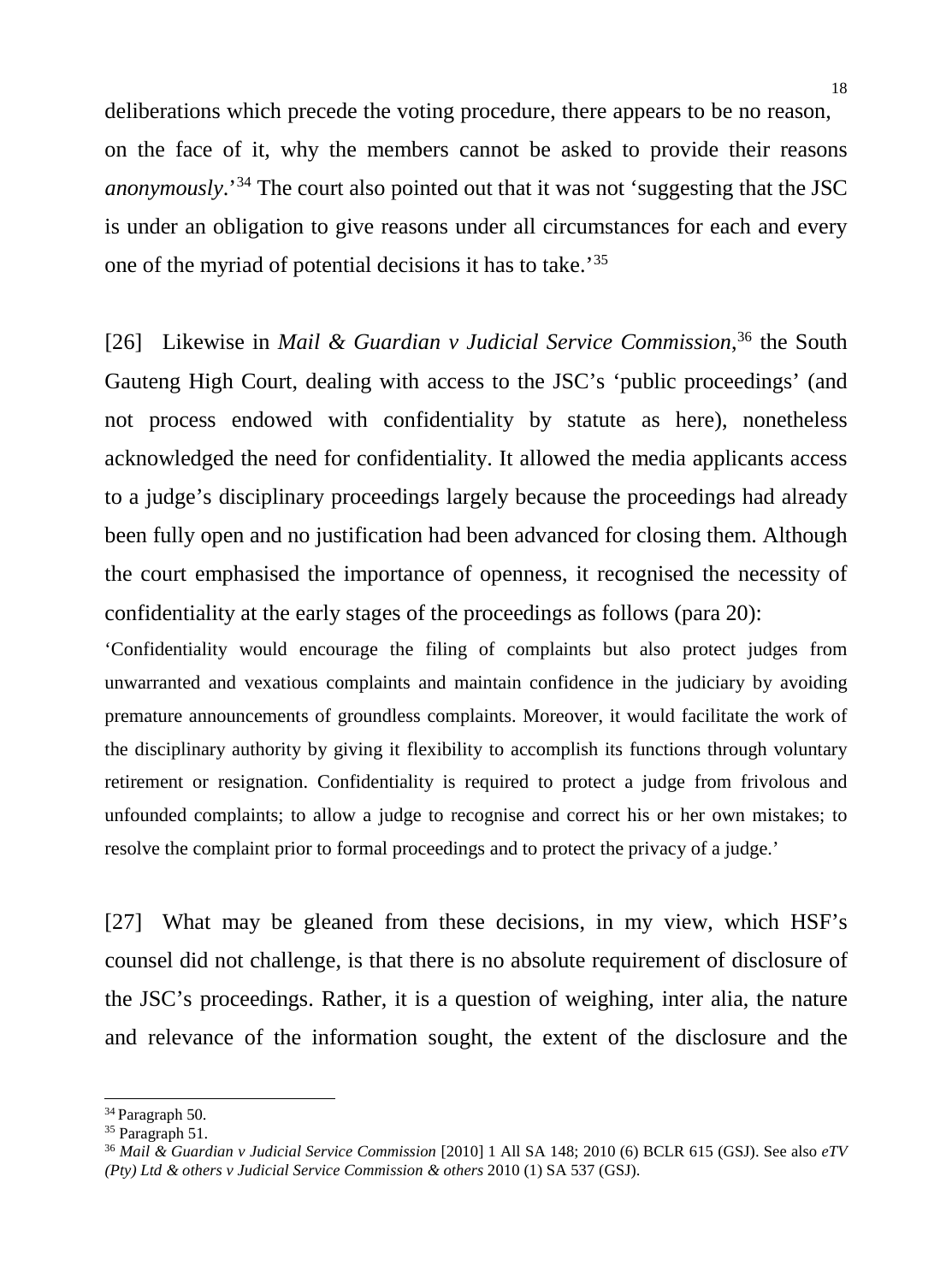deliberations which precede the voting procedure, there appears to be no reason, on the face of it, why the members cannot be asked to provide their reasons *anonymously*.' [34](#page-17-0) The court also pointed out that it was not 'suggesting that the JSC is under an obligation to give reasons under all circumstances for each and every one of the myriad of potential decisions it has to take.'[35](#page-17-1)

[26] Likewise in *Mail & Guardian v Judicial Service Commission*, [36](#page-17-2) the South Gauteng High Court, dealing with access to the JSC's 'public proceedings' (and not process endowed with confidentiality by statute as here), nonetheless acknowledged the need for confidentiality. It allowed the media applicants access to a judge's disciplinary proceedings largely because the proceedings had already been fully open and no justification had been advanced for closing them. Although the court emphasised the importance of openness, it recognised the necessity of confidentiality at the early stages of the proceedings as follows (para 20):

'Confidentiality would encourage the filing of complaints but also protect judges from unwarranted and vexatious complaints and maintain confidence in the judiciary by avoiding premature announcements of groundless complaints. Moreover, it would facilitate the work of the disciplinary authority by giving it flexibility to accomplish its functions through voluntary retirement or resignation. Confidentiality is required to protect a judge from frivolous and unfounded complaints; to allow a judge to recognise and correct his or her own mistakes; to resolve the complaint prior to formal proceedings and to protect the privacy of a judge.'

[27] What may be gleaned from these decisions, in my view, which HSF's counsel did not challenge, is that there is no absolute requirement of disclosure of the JSC's proceedings. Rather, it is a question of weighing, inter alia, the nature and relevance of the information sought, the extent of the disclosure and the

-

<span id="page-17-0"></span><sup>&</sup>lt;sup>34</sup> Paragraph 50.

<span id="page-17-1"></span><sup>&</sup>lt;sup>35</sup> Paragraph 51.

<span id="page-17-2"></span><sup>36</sup> *Mail & Guardian v Judicial Service Commission* [2010] 1 All SA 148; 2010 (6) BCLR 615 (GSJ). See also *eTV (Pty) Ltd & others v Judicial Service Commission & others* 2010 (1) SA 537 (GSJ).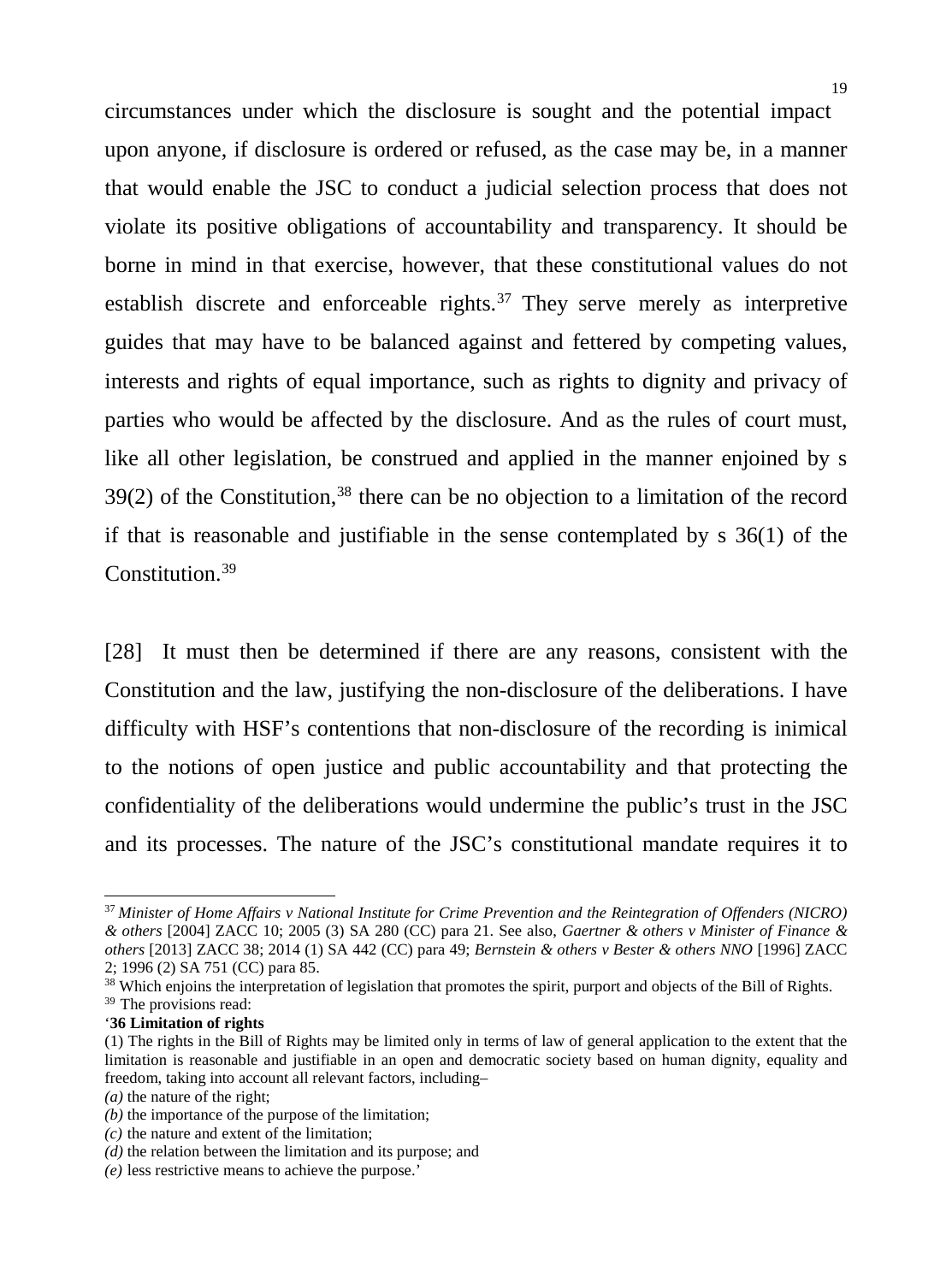circumstances under which the disclosure is sought and the potential impact upon anyone, if disclosure is ordered or refused, as the case may be, in a manner that would enable the JSC to conduct a judicial selection process that does not violate its positive obligations of accountability and transparency. It should be borne in mind in that exercise, however, that these constitutional values do not establish discrete and enforceable rights.<sup>[37](#page-18-0)</sup> They serve merely as interpretive guides that may have to be balanced against and fettered by competing values, interests and rights of equal importance, such as rights to dignity and privacy of parties who would be affected by the disclosure. And as the rules of court must, like all other legislation, be construed and applied in the manner enjoined by s  $39(2)$  of the Constitution,<sup>[38](#page-18-1)</sup> there can be no objection to a limitation of the record if that is reasonable and justifiable in the sense contemplated by s 36(1) of the Constitution.[39](#page-18-2)

[28] It must then be determined if there are any reasons, consistent with the Constitution and the law, justifying the non-disclosure of the deliberations. I have difficulty with HSF's contentions that non-disclosure of the recording is inimical to the notions of open justice and public accountability and that protecting the confidentiality of the deliberations would undermine the public's trust in the JSC and its processes. The nature of the JSC's constitutional mandate requires it to

j

'**36 Limitation of rights**

<span id="page-18-0"></span><sup>37</sup> *Minister of Home Affairs v National Institute for Crime Prevention and the Reintegration of Offenders (NICRO) & others* [2004] ZACC 10; 2005 (3) SA 280 (CC) para 21. See also, *Gaertner & others v Minister of Finance & others* [2013] ZACC 38; 2014 (1) SA 442 (CC) para 49; *Bernstein & others v Bester & others NNO* [1996] ZACC 2; 1996 (2) SA 751 (CC) para 85.

<span id="page-18-1"></span><sup>&</sup>lt;sup>38</sup> Which enjoins the interpretation of legislation that promotes the spirit, purport and objects of the Bill of Rights.

<span id="page-18-2"></span><sup>&</sup>lt;sup>39</sup> The provisions read:

<sup>(1)</sup> The rights in the Bill of Rights may be limited only in terms of law of general application to the extent that the limitation is reasonable and justifiable in an open and democratic society based on human dignity, equality and freedom, taking into account all relevant factors, including–

*<sup>(</sup>a)* the nature of the right;

*<sup>(</sup>b)* the importance of the purpose of the limitation;

*<sup>(</sup>c)* the nature and extent of the limitation;

*<sup>(</sup>d)* the relation between the limitation and its purpose; and

*<sup>(</sup>e)* less restrictive means to achieve the purpose.'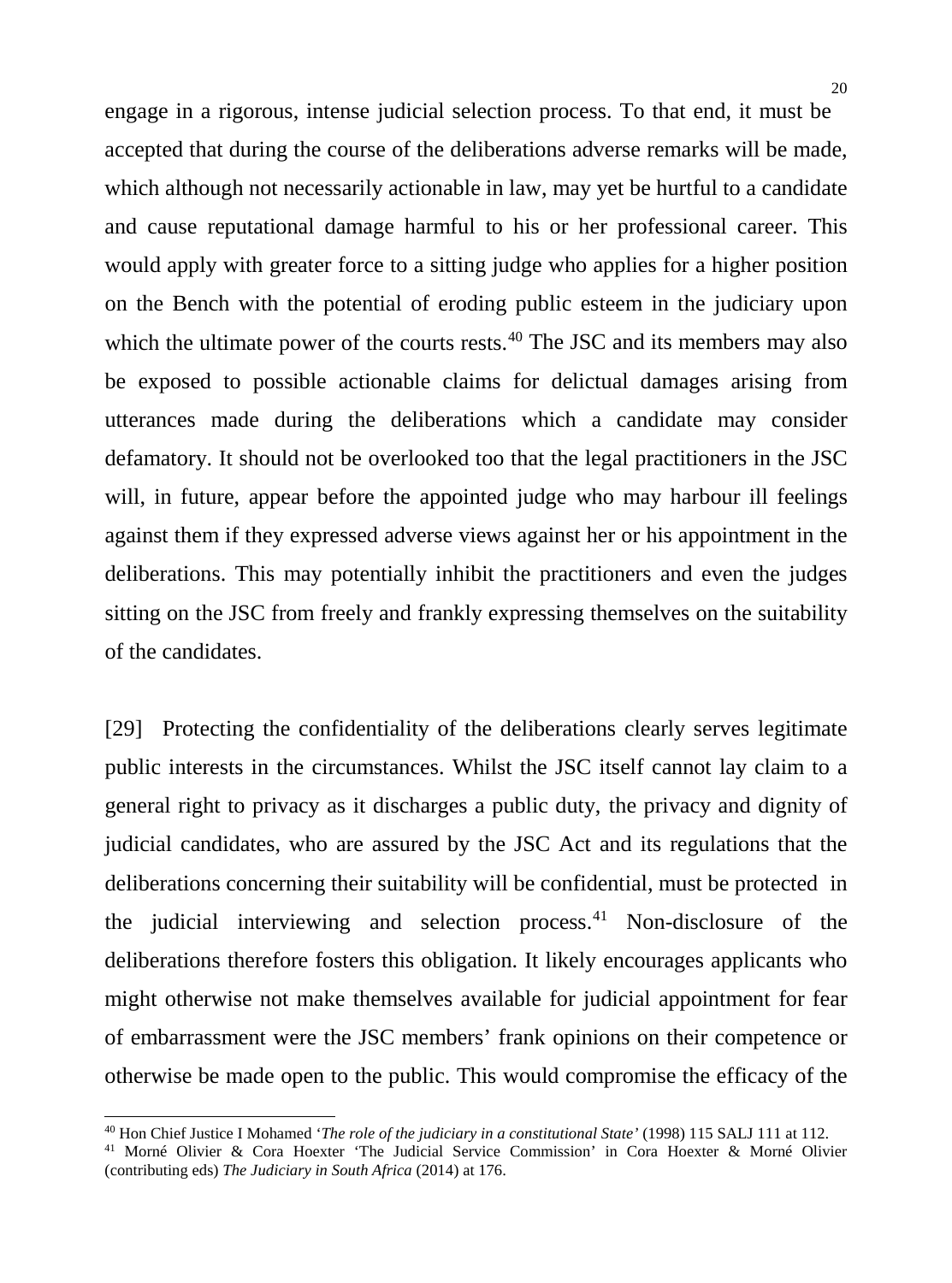20

engage in a rigorous, intense judicial selection process. To that end, it must be accepted that during the course of the deliberations adverse remarks will be made, which although not necessarily actionable in law, may yet be hurtful to a candidate and cause reputational damage harmful to his or her professional career. This would apply with greater force to a sitting judge who applies for a higher position on the Bench with the potential of eroding public esteem in the judiciary upon which the ultimate power of the courts rests. $40$  The JSC and its members may also be exposed to possible actionable claims for delictual damages arising from utterances made during the deliberations which a candidate may consider defamatory. It should not be overlooked too that the legal practitioners in the JSC will, in future, appear before the appointed judge who may harbour ill feelings against them if they expressed adverse views against her or his appointment in the deliberations. This may potentially inhibit the practitioners and even the judges sitting on the JSC from freely and frankly expressing themselves on the suitability of the candidates.

[29] Protecting the confidentiality of the deliberations clearly serves legitimate public interests in the circumstances. Whilst the JSC itself cannot lay claim to a general right to privacy as it discharges a public duty, the privacy and dignity of judicial candidates, who are assured by the JSC Act and its regulations that the deliberations concerning their suitability will be confidential, must be protected in the judicial interviewing and selection process. [41](#page-19-1) Non-disclosure of the deliberations therefore fosters this obligation. It likely encourages applicants who might otherwise not make themselves available for judicial appointment for fear of embarrassment were the JSC members' frank opinions on their competence or otherwise be made open to the public. This would compromise the efficacy of the

<span id="page-19-0"></span><sup>&</sup>lt;sup>40</sup> Hon Chief Justice I Mohamed 'The role of the judiciary in a constitutional State' (1998) 115 SALJ 111 at 112.

<span id="page-19-1"></span><sup>&</sup>lt;sup>41</sup> Morné Olivier & Cora Hoexter 'The Judicial Service Commission' in Cora Hoexter & Morné Olivier (contributing eds) *The Judiciary in South Africa* (2014) at 176.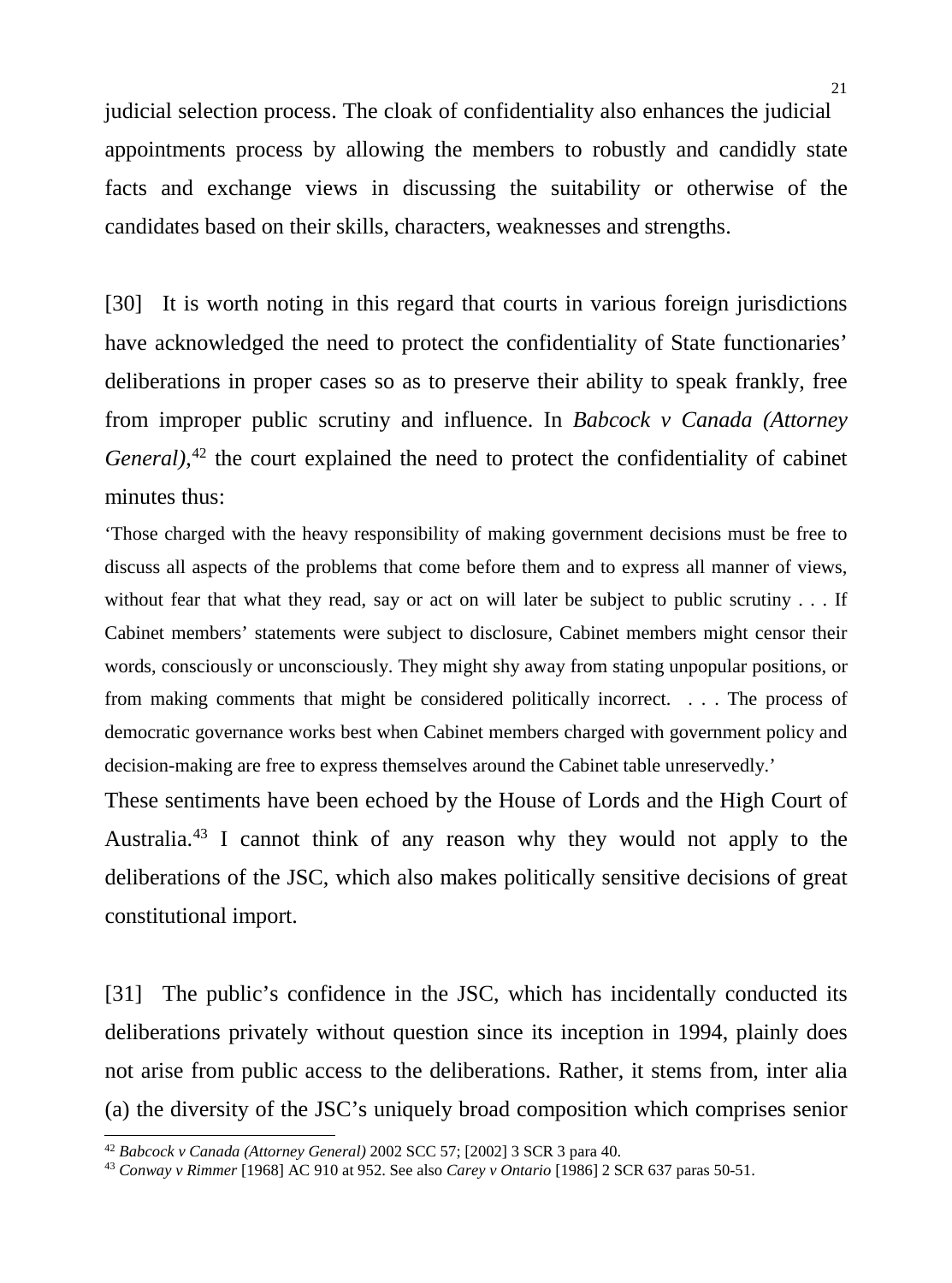judicial selection process. The cloak of confidentiality also enhances the judicial appointments process by allowing the members to robustly and candidly state facts and exchange views in discussing the suitability or otherwise of the candidates based on their skills, characters, weaknesses and strengths.

[30] It is worth noting in this regard that courts in various foreign jurisdictions have acknowledged the need to protect the confidentiality of State functionaries' deliberations in proper cases so as to preserve their ability to speak frankly, free from improper public scrutiny and influence. In *Babcock v Canada (Attorney General)*, [42](#page-20-0) the court explained the need to protect the confidentiality of cabinet minutes thus:

'Those charged with the heavy responsibility of making government decisions must be free to discuss all aspects of the problems that come before them and to express all manner of views, without fear that what they read, say or act on will later be subject to public scrutiny . . . If Cabinet members' statements were subject to disclosure, Cabinet members might censor their words, consciously or unconsciously. They might shy away from stating unpopular positions, or from making comments that might be considered politically incorrect. . . . The process of democratic governance works best when Cabinet members charged with government policy and decision-making are free to express themselves around the Cabinet table unreservedly.'

These sentiments have been echoed by the House of Lords and the High Court of Australia. [43](#page-20-1) I cannot think of any reason why they would not apply to the deliberations of the JSC, which also makes politically sensitive decisions of great constitutional import.

[31] The public's confidence in the JSC, which has incidentally conducted its deliberations privately without question since its inception in 1994, plainly does not arise from public access to the deliberations. Rather, it stems from, inter alia (a) the diversity of the JSC's uniquely broad composition which comprises senior<br>
<sup>42</sup> Babcock v Canada (Attorney General) 2002 SCC 57; [2002] 3 SCR 3 para 40.<br>
<sup>43</sup> Conway v Rimmer [1968] AC 910 at 952. See also Carey v

<span id="page-20-1"></span><span id="page-20-0"></span>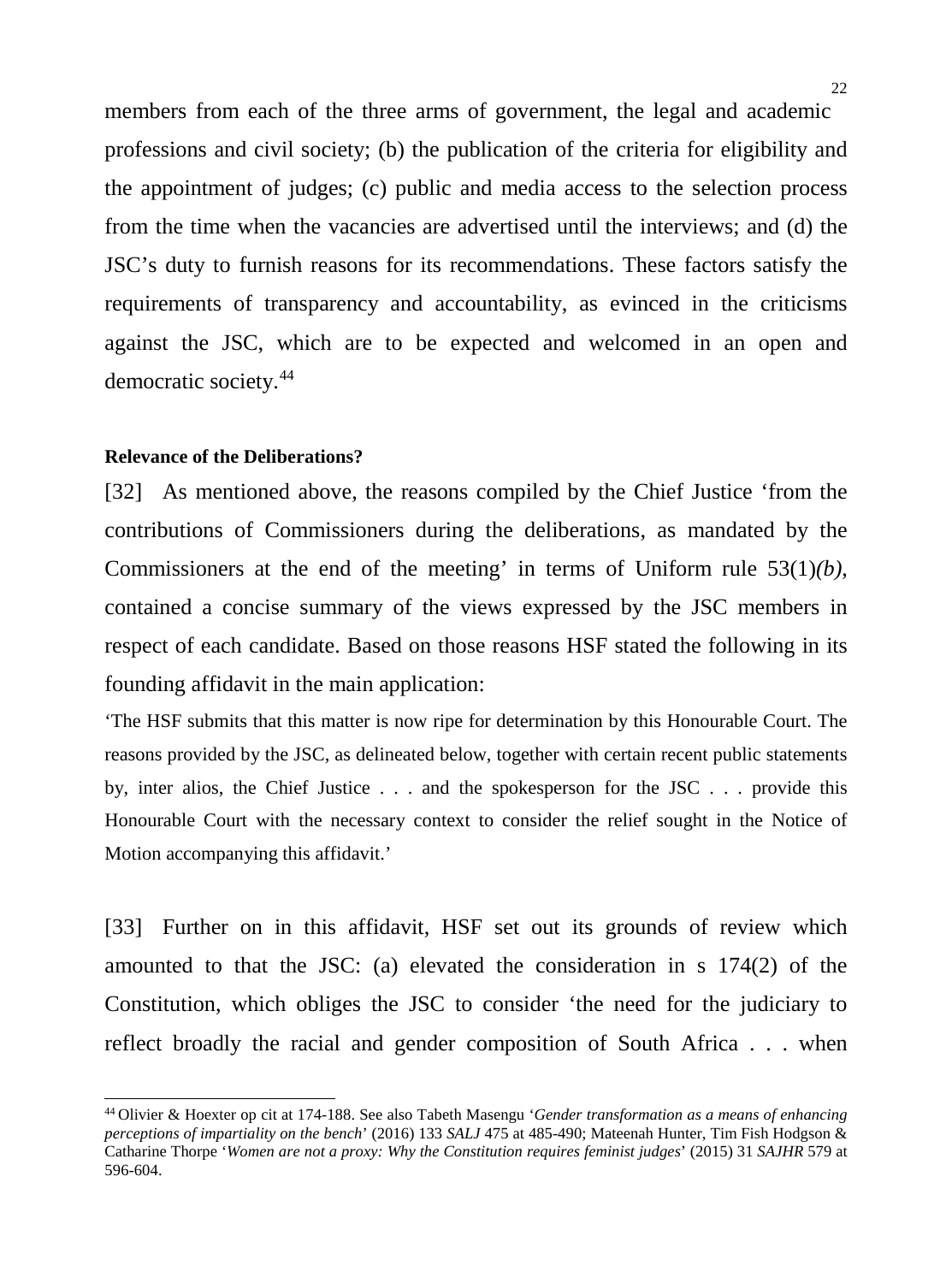members from each of the three arms of government, the legal and academic professions and civil society; (b) the publication of the criteria for eligibility and the appointment of judges; (c) public and media access to the selection process from the time when the vacancies are advertised until the interviews; and (d) the JSC's duty to furnish reasons for its recommendations. These factors satisfy the requirements of transparency and accountability, as evinced in the criticisms against the JSC, which are to be expected and welcomed in an open and democratic society. [44](#page-21-0)

#### **Relevance of the Deliberations?**

-

[32] As mentioned above, the reasons compiled by the Chief Justice 'from the contributions of Commissioners during the deliberations, as mandated by the Commissioners at the end of the meeting' in terms of Uniform rule 53(1)*(b)*, contained a concise summary of the views expressed by the JSC members in respect of each candidate. Based on those reasons HSF stated the following in its founding affidavit in the main application:

'The HSF submits that this matter is now ripe for determination by this Honourable Court. The reasons provided by the JSC, as delineated below, together with certain recent public statements by, inter alios, the Chief Justice . . . and the spokesperson for the JSC . . . provide this Honourable Court with the necessary context to consider the relief sought in the Notice of Motion accompanying this affidavit.'

[33] Further on in this affidavit, HSF set out its grounds of review which amounted to that the JSC: (a) elevated the consideration in s 174(2) of the Constitution, which obliges the JSC to consider 'the need for the judiciary to reflect broadly the racial and gender composition of South Africa . . . when

<span id="page-21-0"></span><sup>44</sup> Olivier & Hoexter op cit at 174-188. See also Tabeth Masengu '*Gender transformation as a means of enhancing perceptions of impartiality on the bench*' (2016) 133 *SALJ* 475 at 485-490; Mateenah Hunter, Tim Fish Hodgson & Catharine Thorpe '*Women are not a proxy: Why the Constitution requires feminist judges*' (2015) 31 *SAJHR* 579 at 596-604.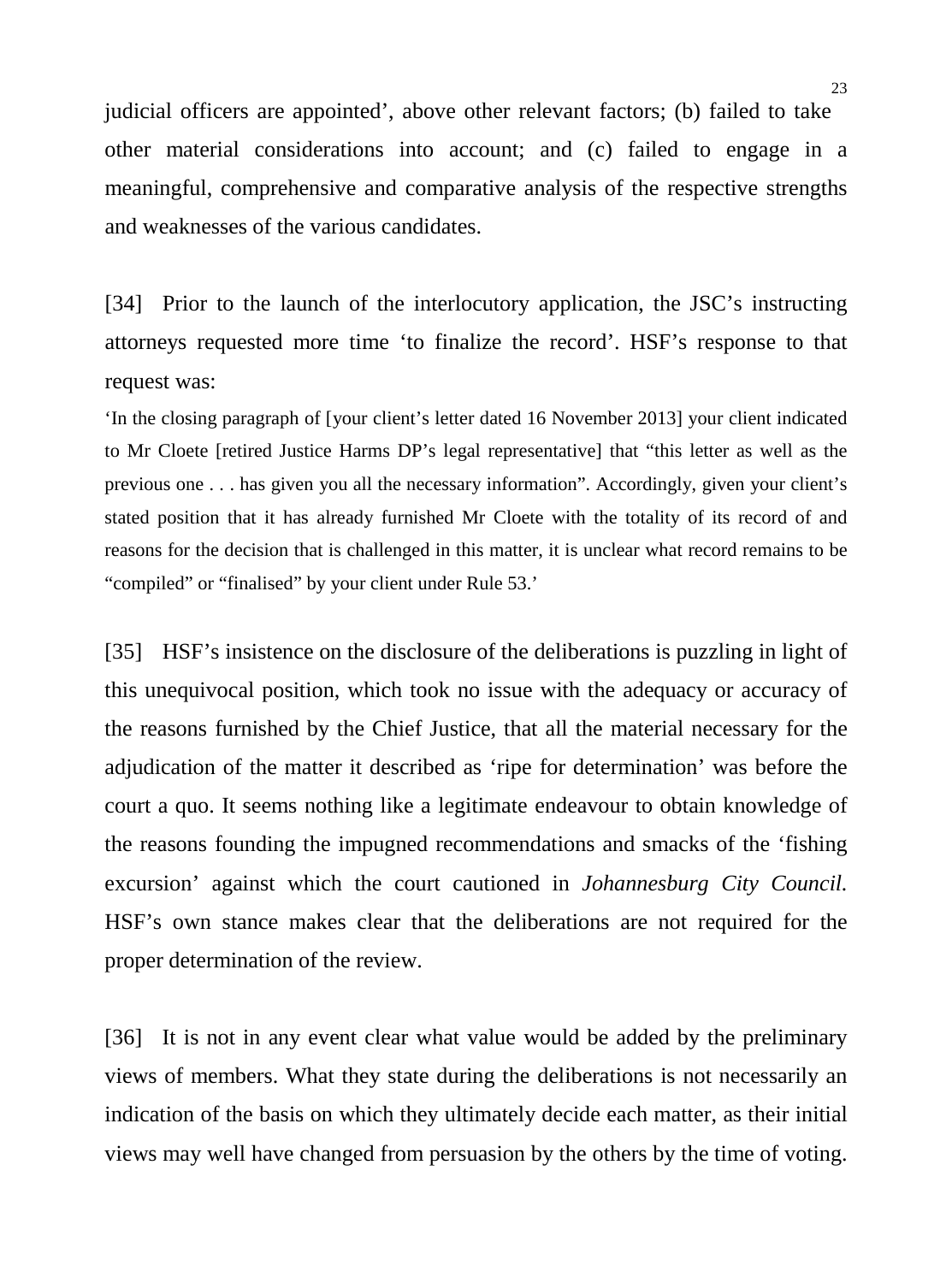judicial officers are appointed', above other relevant factors; (b) failed to take other material considerations into account; and (c) failed to engage in a meaningful, comprehensive and comparative analysis of the respective strengths and weaknesses of the various candidates.

[34] Prior to the launch of the interlocutory application, the JSC's instructing attorneys requested more time 'to finalize the record'. HSF's response to that request was:

'In the closing paragraph of [your client's letter dated 16 November 2013] your client indicated to Mr Cloete [retired Justice Harms DP's legal representative] that "this letter as well as the previous one . . . has given you all the necessary information". Accordingly, given your client's stated position that it has already furnished Mr Cloete with the totality of its record of and reasons for the decision that is challenged in this matter, it is unclear what record remains to be "compiled" or "finalised" by your client under Rule 53.'

[35] HSF's insistence on the disclosure of the deliberations is puzzling in light of this unequivocal position, which took no issue with the adequacy or accuracy of the reasons furnished by the Chief Justice, that all the material necessary for the adjudication of the matter it described as 'ripe for determination' was before the court a quo. It seems nothing like a legitimate endeavour to obtain knowledge of the reasons founding the impugned recommendations and smacks of the 'fishing excursion' against which the court cautioned in *Johannesburg City Council.*  HSF's own stance makes clear that the deliberations are not required for the proper determination of the review.

[36] It is not in any event clear what value would be added by the preliminary views of members. What they state during the deliberations is not necessarily an indication of the basis on which they ultimately decide each matter, as their initial views may well have changed from persuasion by the others by the time of voting.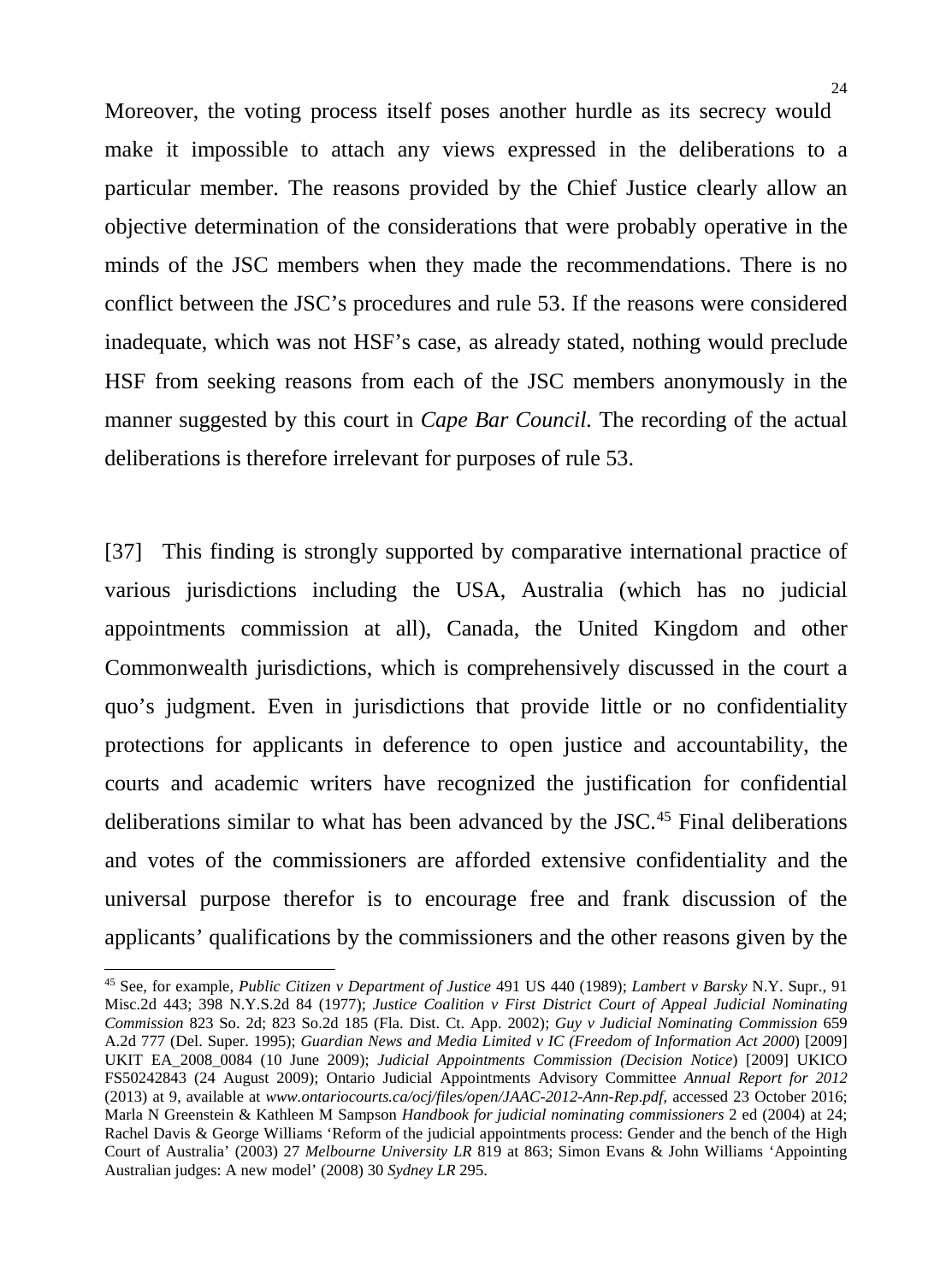Moreover, the voting process itself poses another hurdle as its secrecy would make it impossible to attach any views expressed in the deliberations to a particular member. The reasons provided by the Chief Justice clearly allow an objective determination of the considerations that were probably operative in the minds of the JSC members when they made the recommendations. There is no conflict between the JSC's procedures and rule 53. If the reasons were considered inadequate, which was not HSF's case, as already stated, nothing would preclude HSF from seeking reasons from each of the JSC members anonymously in the manner suggested by this court in *Cape Bar Council.* The recording of the actual deliberations is therefore irrelevant for purposes of rule 53.

[37] This finding is strongly supported by comparative international practice of various jurisdictions including the USA, Australia (which has no judicial appointments commission at all), Canada, the United Kingdom and other Commonwealth jurisdictions, which is comprehensively discussed in the court a quo's judgment. Even in jurisdictions that provide little or no confidentiality protections for applicants in deference to open justice and accountability, the courts and academic writers have recognized the justification for confidential deliberations similar to what has been advanced by the JSC.<sup>[45](#page-23-0)</sup> Final deliberations and votes of the commissioners are afforded extensive confidentiality and the universal purpose therefor is to encourage free and frank discussion of the applicants' qualifications by the commissioners and the other reasons given by the

-

<span id="page-23-0"></span><sup>45</sup> See, for example, *Public Citizen v Department of Justice* 491 US 440 (1989); *Lambert v Barsky* N.Y. Supr., 91 Misc.2d 443; 398 N.Y.S.2d 84 (1977); *Justice Coalition v First District Court of Appeal Judicial Nominating Commission* 823 So. 2d; 823 So.2d 185 (Fla. Dist. Ct. App. 2002); *Guy v Judicial Nominating Commission* 659 A.2d 777 (Del. Super. 1995); *Guardian News and Media Limited v IC (Freedom of Information Act 2000*) [2009] UKIT EA\_2008\_0084 (10 June 2009); *Judicial Appointments Commission (Decision Notice*) [2009] UKICO FS50242843 (24 August 2009); Ontario Judicial Appointments Advisory Committee *Annual Report for 2012* (2013) at 9, available at *www.ontariocourts.ca/ocj/files/open/JAAC-2012-Ann-Rep.pdf*, accessed 23 October 2016; Marla N Greenstein & Kathleen M Sampson *Handbook for judicial nominating commissioners* 2 ed (2004) at 24; Rachel Davis & George Williams 'Reform of the judicial appointments process: Gender and the bench of the High Court of Australia' (2003) 27 *Melbourne University LR* 819 at 863; Simon Evans & John Williams 'Appointing Australian judges: A new model' (2008) 30 *Sydney LR* 295.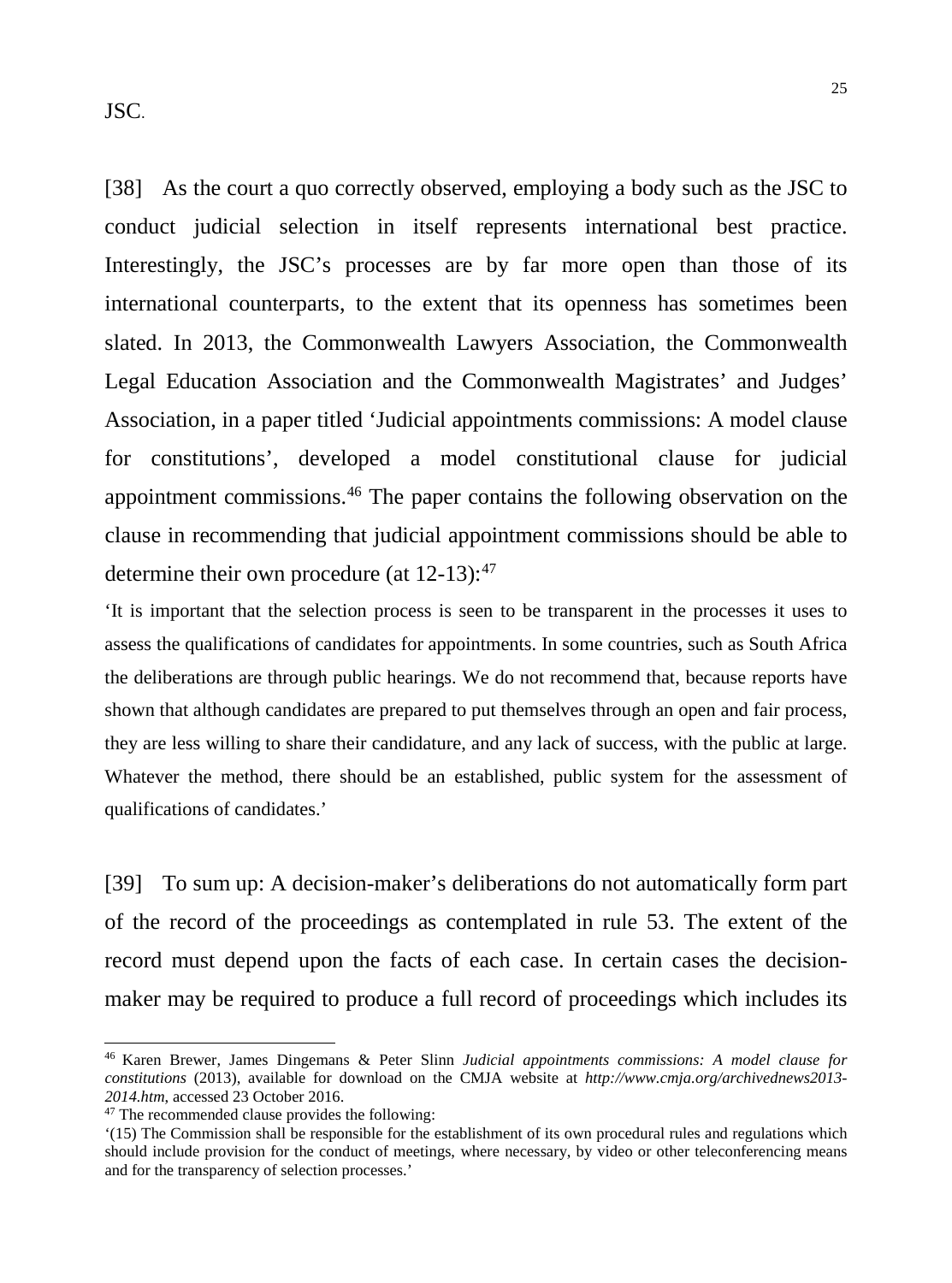JSC.

[38] As the court a quo correctly observed, employing a body such as the JSC to conduct judicial selection in itself represents international best practice. Interestingly, the JSC's processes are by far more open than those of its international counterparts, to the extent that its openness has sometimes been slated. In 2013, the Commonwealth Lawyers Association, the Commonwealth Legal Education Association and the Commonwealth Magistrates' and Judges' Association, in a paper titled 'Judicial appointments commissions: A model clause for constitutions', developed a model constitutional clause for judicial appointment commissions. [46](#page-24-0) The paper contains the following observation on the clause in recommending that judicial appointment commissions should be able to determine their own procedure (at 12-13):<sup>[47](#page-24-1)</sup>

'It is important that the selection process is seen to be transparent in the processes it uses to assess the qualifications of candidates for appointments. In some countries, such as South Africa the deliberations are through public hearings. We do not recommend that, because reports have shown that although candidates are prepared to put themselves through an open and fair process, they are less willing to share their candidature, and any lack of success, with the public at large. Whatever the method, there should be an established, public system for the assessment of qualifications of candidates.'

[39] To sum up: A decision-maker's deliberations do not automatically form part of the record of the proceedings as contemplated in rule 53. The extent of the record must depend upon the facts of each case. In certain cases the decisionmaker may be required to produce a full record of proceedings which includes its

<span id="page-24-0"></span><sup>46</sup> Karen Brewer, James Dingemans & Peter Slinn *Judicial appointments commissions: A model clause for constitutions* (2013), available for download on the CMJA website at *http://www.cmja.org/archivednews2013- 2014.htm*, accessed 23 October 2016.

<span id="page-24-1"></span><sup>&</sup>lt;sup>47</sup> The recommended clause provides the following:

<sup>&#</sup>x27;(15) The Commission shall be responsible for the establishment of its own procedural rules and regulations which should include provision for the conduct of meetings, where necessary, by video or other teleconferencing means and for the transparency of selection processes.'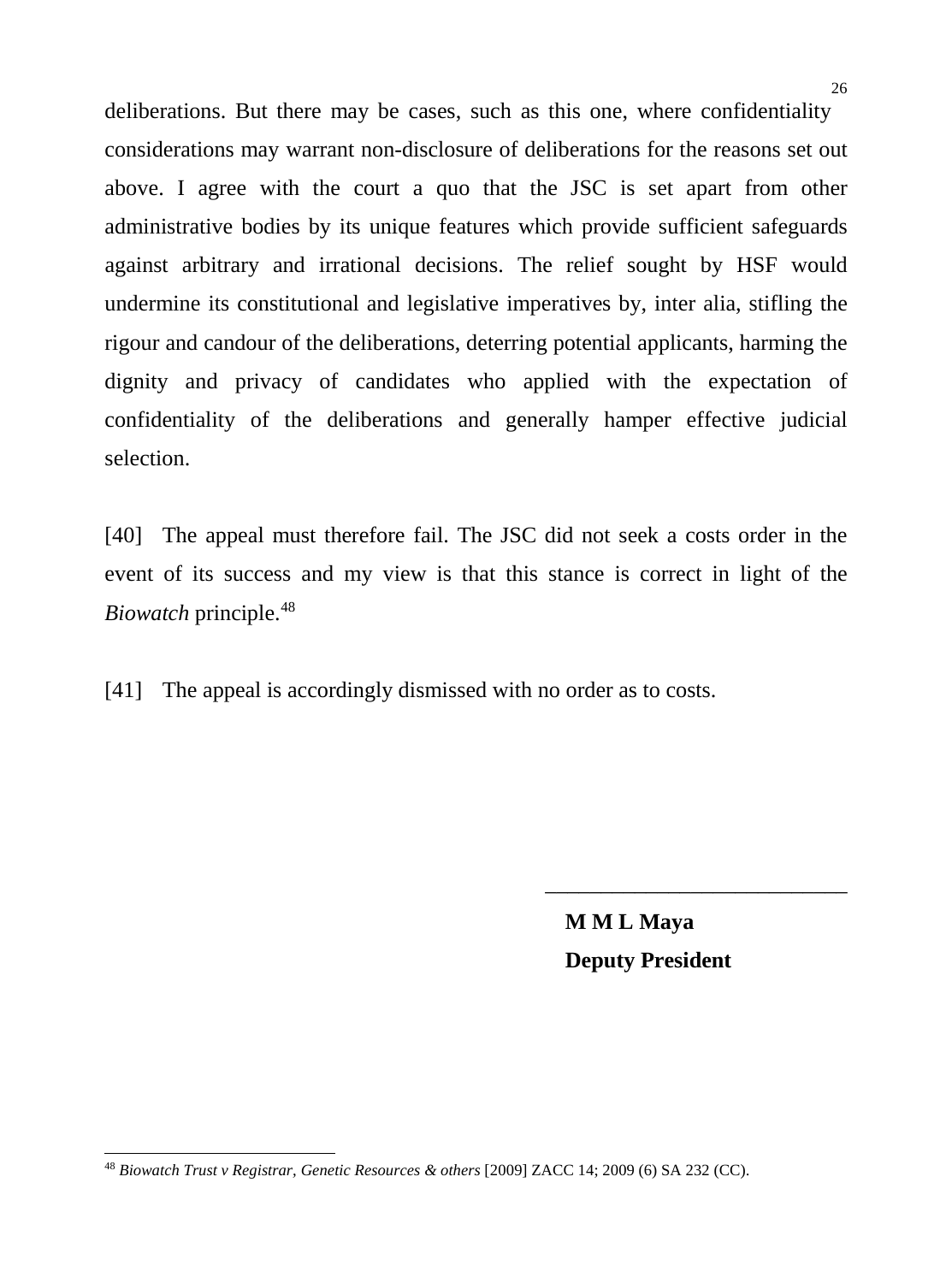deliberations. But there may be cases, such as this one, where confidentiality considerations may warrant non-disclosure of deliberations for the reasons set out above. I agree with the court a quo that the JSC is set apart from other administrative bodies by its unique features which provide sufficient safeguards against arbitrary and irrational decisions. The relief sought by HSF would undermine its constitutional and legislative imperatives by, inter alia, stifling the rigour and candour of the deliberations, deterring potential applicants, harming the dignity and privacy of candidates who applied with the expectation of confidentiality of the deliberations and generally hamper effective judicial selection.

[40] The appeal must therefore fail. The JSC did not seek a costs order in the event of its success and my view is that this stance is correct in light of the *Biowatch* principle.[48](#page-25-0)

[41] The appeal is accordingly dismissed with no order as to costs.

**M M L Maya Deputy President** 

\_\_\_\_\_\_\_\_\_\_\_\_\_\_\_\_\_\_\_\_\_\_\_\_\_\_\_

<span id="page-25-0"></span>j <sup>48</sup> *Biowatch Trust v Registrar, Genetic Resources & others* [2009] ZACC 14; 2009 (6) SA 232 (CC).